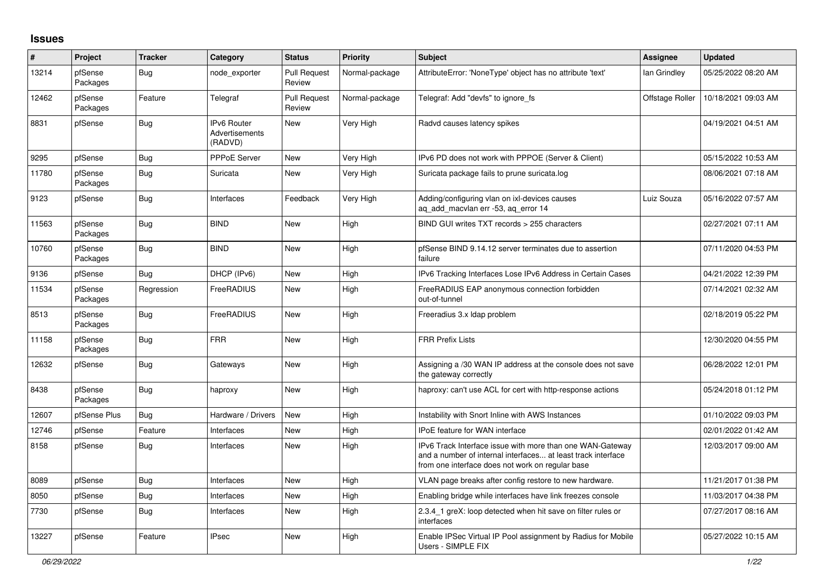## **Issues**

| ∦     | Project             | <b>Tracker</b> | Category                                        | <b>Status</b>                 | <b>Priority</b> | <b>Subject</b>                                                                                                                                                                | <b>Assignee</b> | <b>Updated</b>      |
|-------|---------------------|----------------|-------------------------------------------------|-------------------------------|-----------------|-------------------------------------------------------------------------------------------------------------------------------------------------------------------------------|-----------------|---------------------|
| 13214 | pfSense<br>Packages | Bug            | node exporter                                   | <b>Pull Request</b><br>Review | Normal-package  | AttributeError: 'NoneType' object has no attribute 'text'                                                                                                                     | lan Grindley    | 05/25/2022 08:20 AM |
| 12462 | pfSense<br>Packages | Feature        | Telegraf                                        | <b>Pull Request</b><br>Review | Normal-package  | Telegraf: Add "devfs" to ignore fs                                                                                                                                            | Offstage Roller | 10/18/2021 09:03 AM |
| 8831  | pfSense             | <b>Bug</b>     | <b>IPv6 Router</b><br>Advertisements<br>(RADVD) | <b>New</b>                    | Very High       | Radvd causes latency spikes                                                                                                                                                   |                 | 04/19/2021 04:51 AM |
| 9295  | pfSense             | Bug            | <b>PPPoE Server</b>                             | <b>New</b>                    | Very High       | IPv6 PD does not work with PPPOE (Server & Client)                                                                                                                            |                 | 05/15/2022 10:53 AM |
| 11780 | pfSense<br>Packages | <b>Bug</b>     | Suricata                                        | <b>New</b>                    | Very High       | Suricata package fails to prune suricata.log                                                                                                                                  |                 | 08/06/2021 07:18 AM |
| 9123  | pfSense             | <b>Bug</b>     | Interfaces                                      | Feedback                      | Very High       | Adding/configuring vlan on ixl-devices causes<br>ag add macvlan err -53, ag error 14                                                                                          | Luiz Souza      | 05/16/2022 07:57 AM |
| 11563 | pfSense<br>Packages | <b>Bug</b>     | <b>BIND</b>                                     | <b>New</b>                    | High            | BIND GUI writes TXT records > 255 characters                                                                                                                                  |                 | 02/27/2021 07:11 AM |
| 10760 | pfSense<br>Packages | <b>Bug</b>     | <b>BIND</b>                                     | New                           | High            | pfSense BIND 9.14.12 server terminates due to assertion<br>failure                                                                                                            |                 | 07/11/2020 04:53 PM |
| 9136  | pfSense             | Bug            | DHCP (IPv6)                                     | New                           | High            | IPv6 Tracking Interfaces Lose IPv6 Address in Certain Cases                                                                                                                   |                 | 04/21/2022 12:39 PM |
| 11534 | pfSense<br>Packages | Regression     | FreeRADIUS                                      | <b>New</b>                    | High            | FreeRADIUS EAP anonymous connection forbidden<br>out-of-tunnel                                                                                                                |                 | 07/14/2021 02:32 AM |
| 8513  | pfSense<br>Packages | <b>Bug</b>     | FreeRADIUS                                      | New                           | High            | Freeradius 3.x Idap problem                                                                                                                                                   |                 | 02/18/2019 05:22 PM |
| 11158 | pfSense<br>Packages | <b>Bug</b>     | <b>FRR</b>                                      | New                           | High            | <b>FRR Prefix Lists</b>                                                                                                                                                       |                 | 12/30/2020 04:55 PM |
| 12632 | pfSense             | Bug            | Gateways                                        | New                           | High            | Assigning a /30 WAN IP address at the console does not save<br>the gateway correctly                                                                                          |                 | 06/28/2022 12:01 PM |
| 8438  | pfSense<br>Packages | <b>Bug</b>     | haproxy                                         | New                           | High            | haproxy: can't use ACL for cert with http-response actions                                                                                                                    |                 | 05/24/2018 01:12 PM |
| 12607 | pfSense Plus        | Bug            | Hardware / Drivers                              | New                           | High            | Instability with Snort Inline with AWS Instances                                                                                                                              |                 | 01/10/2022 09:03 PM |
| 12746 | pfSense             | Feature        | Interfaces                                      | New                           | High            | IPoE feature for WAN interface                                                                                                                                                |                 | 02/01/2022 01:42 AM |
| 8158  | pfSense             | <b>Bug</b>     | Interfaces                                      | <b>New</b>                    | High            | IPv6 Track Interface issue with more than one WAN-Gateway<br>and a number of internal interfaces at least track interface<br>from one interface does not work on regular base |                 | 12/03/2017 09:00 AM |
| 8089  | pfSense             | Bug            | Interfaces                                      | <b>New</b>                    | High            | VLAN page breaks after config restore to new hardware.                                                                                                                        |                 | 11/21/2017 01:38 PM |
| 8050  | pfSense             | Bug            | Interfaces                                      | <b>New</b>                    | High            | Enabling bridge while interfaces have link freezes console                                                                                                                    |                 | 11/03/2017 04:38 PM |
| 7730  | pfSense             | <b>Bug</b>     | Interfaces                                      | <b>New</b>                    | High            | 2.3.4 1 greX: loop detected when hit save on filter rules or<br>interfaces                                                                                                    |                 | 07/27/2017 08:16 AM |
| 13227 | pfSense             | Feature        | <b>IPsec</b>                                    | <b>New</b>                    | High            | Enable IPSec Virtual IP Pool assignment by Radius for Mobile<br>Users - SIMPLE FIX                                                                                            |                 | 05/27/2022 10:15 AM |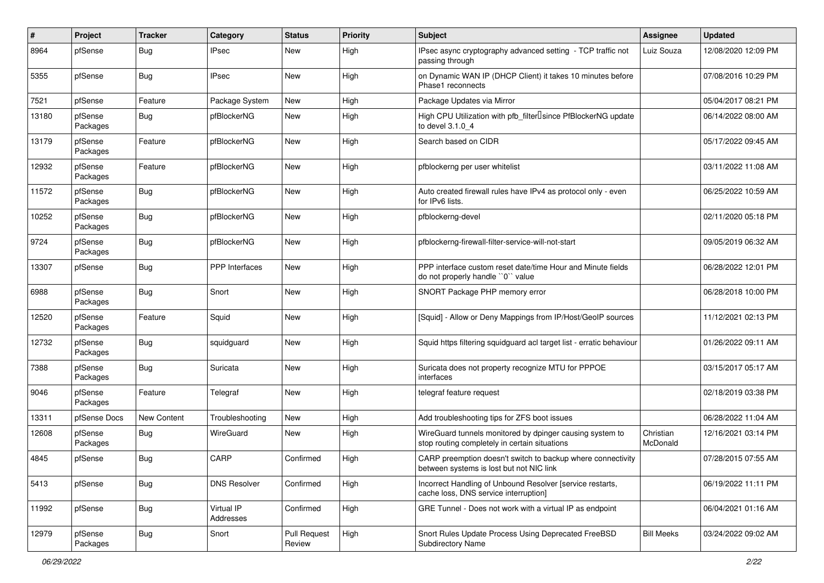| $\#$  | Project             | <b>Tracker</b> | Category                | <b>Status</b>          | <b>Priority</b> | Subject                                                                                                   | <b>Assignee</b>       | <b>Updated</b>      |
|-------|---------------------|----------------|-------------------------|------------------------|-----------------|-----------------------------------------------------------------------------------------------------------|-----------------------|---------------------|
| 8964  | pfSense             | Bug            | <b>IPsec</b>            | New                    | High            | IPsec async cryptography advanced setting - TCP traffic not<br>passing through                            | Luiz Souza            | 12/08/2020 12:09 PM |
| 5355  | pfSense             | Bug            | <b>IPsec</b>            | New                    | High            | on Dynamic WAN IP (DHCP Client) it takes 10 minutes before<br>Phase1 reconnects                           |                       | 07/08/2016 10:29 PM |
| 7521  | pfSense             | Feature        | Package System          | New                    | High            | Package Updates via Mirror                                                                                |                       | 05/04/2017 08:21 PM |
| 13180 | pfSense<br>Packages | <b>Bug</b>     | pfBlockerNG             | New                    | High            | High CPU Utilization with pfb_filter <sup>[]</sup> since PfBlockerNG update<br>to devel 3.1.0 4           |                       | 06/14/2022 08:00 AM |
| 13179 | pfSense<br>Packages | Feature        | pfBlockerNG             | <b>New</b>             | High            | Search based on CIDR                                                                                      |                       | 05/17/2022 09:45 AM |
| 12932 | pfSense<br>Packages | Feature        | pfBlockerNG             | <b>New</b>             | High            | pfblockerng per user whitelist                                                                            |                       | 03/11/2022 11:08 AM |
| 11572 | pfSense<br>Packages | <b>Bug</b>     | pfBlockerNG             | New                    | High            | Auto created firewall rules have IPv4 as protocol only - even<br>for IPv6 lists.                          |                       | 06/25/2022 10:59 AM |
| 10252 | pfSense<br>Packages | Bug            | pfBlockerNG             | New                    | High            | pfblockerng-devel                                                                                         |                       | 02/11/2020 05:18 PM |
| 9724  | pfSense<br>Packages | <b>Bug</b>     | pfBlockerNG             | <b>New</b>             | High            | pfblockerng-firewall-filter-service-will-not-start                                                        |                       | 09/05/2019 06:32 AM |
| 13307 | pfSense             | Bug            | PPP Interfaces          | New                    | High            | PPP interface custom reset date/time Hour and Minute fields<br>do not properly handle "0" value           |                       | 06/28/2022 12:01 PM |
| 6988  | pfSense<br>Packages | Bug            | Snort                   | <b>New</b>             | High            | SNORT Package PHP memory error                                                                            |                       | 06/28/2018 10:00 PM |
| 12520 | pfSense<br>Packages | Feature        | Squid                   | <b>New</b>             | High            | [Squid] - Allow or Deny Mappings from IP/Host/GeoIP sources                                               |                       | 11/12/2021 02:13 PM |
| 12732 | pfSense<br>Packages | <b>Bug</b>     | squidguard              | New                    | High            | Squid https filtering squidguard acl target list - erratic behaviour                                      |                       | 01/26/2022 09:11 AM |
| 7388  | pfSense<br>Packages | Bug            | Suricata                | New                    | High            | Suricata does not property recognize MTU for PPPOE<br>interfaces                                          |                       | 03/15/2017 05:17 AM |
| 9046  | pfSense<br>Packages | Feature        | Telegraf                | New                    | High            | telegraf feature request                                                                                  |                       | 02/18/2019 03:38 PM |
| 13311 | pfSense Docs        | New Content    | Troubleshooting         | <b>New</b>             | High            | Add troubleshooting tips for ZFS boot issues                                                              |                       | 06/28/2022 11:04 AM |
| 12608 | pfSense<br>Packages | Bug            | WireGuard               | New                    | High            | WireGuard tunnels monitored by dpinger causing system to<br>stop routing completely in certain situations | Christian<br>McDonald | 12/16/2021 03:14 PM |
| 4845  | pfSense             | <b>Bug</b>     | CARP                    | Confirmed              | High            | CARP preemption doesn't switch to backup where connectivity<br>between systems is lost but not NIC link   |                       | 07/28/2015 07:55 AM |
| 5413  | pfSense             | <b>Bug</b>     | <b>DNS Resolver</b>     | Confirmed              | High            | Incorrect Handling of Unbound Resolver [service restarts,<br>cache loss, DNS service interruption]        |                       | 06/19/2022 11:11 PM |
| 11992 | pfSense             | <b>Bug</b>     | Virtual IP<br>Addresses | Confirmed              | High            | GRE Tunnel - Does not work with a virtual IP as endpoint                                                  |                       | 06/04/2021 01:16 AM |
| 12979 | pfSense<br>Packages | <b>Bug</b>     | Snort                   | Pull Request<br>Review | High            | Snort Rules Update Process Using Deprecated FreeBSD<br>Subdirectory Name                                  | <b>Bill Meeks</b>     | 03/24/2022 09:02 AM |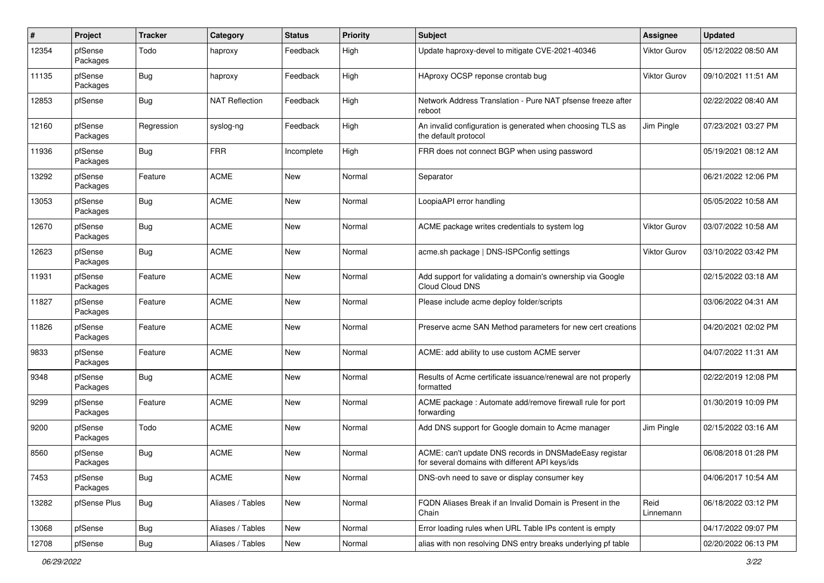| #     | Project             | <b>Tracker</b> | Category              | <b>Status</b> | <b>Priority</b> | Subject                                                                                                   | <b>Assignee</b>   | <b>Updated</b>      |
|-------|---------------------|----------------|-----------------------|---------------|-----------------|-----------------------------------------------------------------------------------------------------------|-------------------|---------------------|
| 12354 | pfSense<br>Packages | Todo           | haproxy               | Feedback      | High            | Update haproxy-devel to mitigate CVE-2021-40346                                                           | Viktor Gurov      | 05/12/2022 08:50 AM |
| 11135 | pfSense<br>Packages | Bug            | haproxy               | Feedback      | High            | HAproxy OCSP reponse crontab bug                                                                          | Viktor Gurov      | 09/10/2021 11:51 AM |
| 12853 | pfSense             | Bug            | <b>NAT Reflection</b> | Feedback      | High            | Network Address Translation - Pure NAT pfsense freeze after<br>reboot                                     |                   | 02/22/2022 08:40 AM |
| 12160 | pfSense<br>Packages | Regression     | syslog-ng             | Feedback      | High            | An invalid configuration is generated when choosing TLS as<br>the default protocol                        | Jim Pingle        | 07/23/2021 03:27 PM |
| 11936 | pfSense<br>Packages | Bug            | <b>FRR</b>            | Incomplete    | High            | FRR does not connect BGP when using password                                                              |                   | 05/19/2021 08:12 AM |
| 13292 | pfSense<br>Packages | Feature        | <b>ACME</b>           | New           | Normal          | Separator                                                                                                 |                   | 06/21/2022 12:06 PM |
| 13053 | pfSense<br>Packages | Bug            | <b>ACME</b>           | <b>New</b>    | Normal          | LoopiaAPI error handling                                                                                  |                   | 05/05/2022 10:58 AM |
| 12670 | pfSense<br>Packages | Bug            | <b>ACME</b>           | New           | Normal          | ACME package writes credentials to system log                                                             | Viktor Gurov      | 03/07/2022 10:58 AM |
| 12623 | pfSense<br>Packages | Bug            | <b>ACME</b>           | New           | Normal          | acme.sh package   DNS-ISPConfig settings                                                                  | Viktor Gurov      | 03/10/2022 03:42 PM |
| 11931 | pfSense<br>Packages | Feature        | <b>ACME</b>           | New           | Normal          | Add support for validating a domain's ownership via Google<br>Cloud Cloud DNS                             |                   | 02/15/2022 03:18 AM |
| 11827 | pfSense<br>Packages | Feature        | <b>ACME</b>           | New           | Normal          | Please include acme deploy folder/scripts                                                                 |                   | 03/06/2022 04:31 AM |
| 11826 | pfSense<br>Packages | Feature        | <b>ACME</b>           | New           | Normal          | Preserve acme SAN Method parameters for new cert creations                                                |                   | 04/20/2021 02:02 PM |
| 9833  | pfSense<br>Packages | Feature        | <b>ACME</b>           | New           | Normal          | ACME: add ability to use custom ACME server                                                               |                   | 04/07/2022 11:31 AM |
| 9348  | pfSense<br>Packages | Bug            | <b>ACME</b>           | New           | Normal          | Results of Acme certificate issuance/renewal are not properly<br>formatted                                |                   | 02/22/2019 12:08 PM |
| 9299  | pfSense<br>Packages | Feature        | <b>ACME</b>           | New           | Normal          | ACME package : Automate add/remove firewall rule for port<br>forwarding                                   |                   | 01/30/2019 10:09 PM |
| 9200  | pfSense<br>Packages | Todo           | <b>ACME</b>           | New           | Normal          | Add DNS support for Google domain to Acme manager                                                         | Jim Pingle        | 02/15/2022 03:16 AM |
| 8560  | pfSense<br>Packages | Bug            | <b>ACME</b>           | <b>New</b>    | Normal          | ACME: can't update DNS records in DNSMadeEasy registar<br>for several domains with different API keys/ids |                   | 06/08/2018 01:28 PM |
| 7453  | pfSense<br>Packages | <b>Bug</b>     | ACME                  | New           | Normal          | DNS-ovh need to save or display consumer key                                                              |                   | 04/06/2017 10:54 AM |
| 13282 | pfSense Plus        | <b>Bug</b>     | Aliases / Tables      | New           | Normal          | FQDN Aliases Break if an Invalid Domain is Present in the<br>Chain                                        | Reid<br>Linnemann | 06/18/2022 03:12 PM |
| 13068 | pfSense             | <b>Bug</b>     | Aliases / Tables      | New           | Normal          | Error loading rules when URL Table IPs content is empty                                                   |                   | 04/17/2022 09:07 PM |
| 12708 | pfSense             | <b>Bug</b>     | Aliases / Tables      | New           | Normal          | alias with non resolving DNS entry breaks underlying pf table                                             |                   | 02/20/2022 06:13 PM |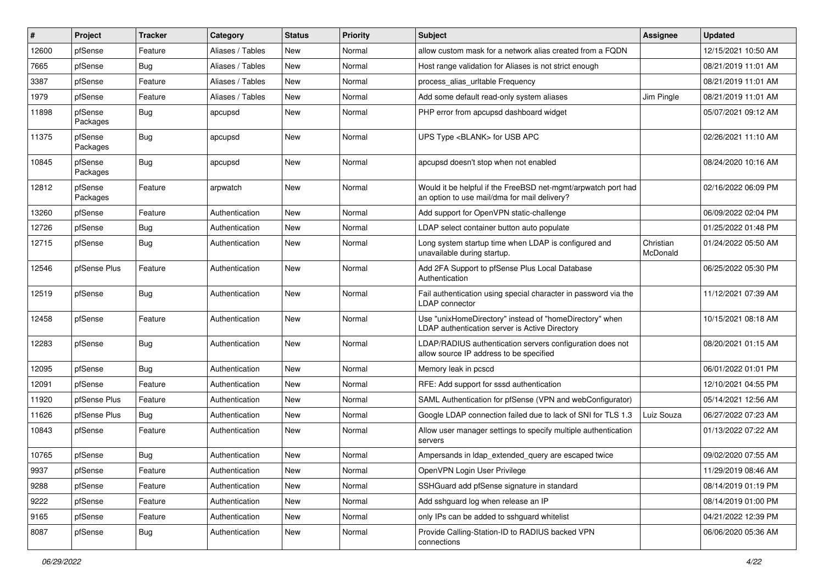| #     | Project             | <b>Tracker</b> | Category         | <b>Status</b> | <b>Priority</b> | Subject                                                                                                       | Assignee              | <b>Updated</b>      |
|-------|---------------------|----------------|------------------|---------------|-----------------|---------------------------------------------------------------------------------------------------------------|-----------------------|---------------------|
| 12600 | pfSense             | Feature        | Aliases / Tables | New           | Normal          | allow custom mask for a network alias created from a FQDN                                                     |                       | 12/15/2021 10:50 AM |
| 7665  | pfSense             | Bug            | Aliases / Tables | <b>New</b>    | Normal          | Host range validation for Aliases is not strict enough                                                        |                       | 08/21/2019 11:01 AM |
| 3387  | pfSense             | Feature        | Aliases / Tables | New           | Normal          | process alias urltable Frequency                                                                              |                       | 08/21/2019 11:01 AM |
| 1979  | pfSense             | Feature        | Aliases / Tables | New           | Normal          | Add some default read-only system aliases                                                                     | Jim Pingle            | 08/21/2019 11:01 AM |
| 11898 | pfSense<br>Packages | <b>Bug</b>     | apcupsd          | New           | Normal          | PHP error from apcupsd dashboard widget                                                                       |                       | 05/07/2021 09:12 AM |
| 11375 | pfSense<br>Packages | Bug            | apcupsd          | New           | Normal          | UPS Type <blank> for USB APC</blank>                                                                          |                       | 02/26/2021 11:10 AM |
| 10845 | pfSense<br>Packages | <b>Bug</b>     | apcupsd          | <b>New</b>    | Normal          | apcupsd doesn't stop when not enabled                                                                         |                       | 08/24/2020 10:16 AM |
| 12812 | pfSense<br>Packages | Feature        | arpwatch         | <b>New</b>    | Normal          | Would it be helpful if the FreeBSD net-mgmt/arpwatch port had<br>an option to use mail/dma for mail delivery? |                       | 02/16/2022 06:09 PM |
| 13260 | pfSense             | Feature        | Authentication   | New           | Normal          | Add support for OpenVPN static-challenge                                                                      |                       | 06/09/2022 02:04 PM |
| 12726 | pfSense             | Bug            | Authentication   | New           | Normal          | LDAP select container button auto populate                                                                    |                       | 01/25/2022 01:48 PM |
| 12715 | pfSense             | Bug            | Authentication   | New           | Normal          | Long system startup time when LDAP is configured and<br>unavailable during startup.                           | Christian<br>McDonald | 01/24/2022 05:50 AM |
| 12546 | pfSense Plus        | Feature        | Authentication   | <b>New</b>    | Normal          | Add 2FA Support to pfSense Plus Local Database<br>Authentication                                              |                       | 06/25/2022 05:30 PM |
| 12519 | pfSense             | Bug            | Authentication   | <b>New</b>    | Normal          | Fail authentication using special character in password via the<br>LDAP connector                             |                       | 11/12/2021 07:39 AM |
| 12458 | pfSense             | Feature        | Authentication   | New           | Normal          | Use "unixHomeDirectory" instead of "homeDirectory" when<br>LDAP authentication server is Active Directory     |                       | 10/15/2021 08:18 AM |
| 12283 | pfSense             | Bug            | Authentication   | <b>New</b>    | Normal          | LDAP/RADIUS authentication servers configuration does not<br>allow source IP address to be specified          |                       | 08/20/2021 01:15 AM |
| 12095 | pfSense             | Bug            | Authentication   | <b>New</b>    | Normal          | Memory leak in pcscd                                                                                          |                       | 06/01/2022 01:01 PM |
| 12091 | pfSense             | Feature        | Authentication   | New           | Normal          | RFE: Add support for sssd authentication                                                                      |                       | 12/10/2021 04:55 PM |
| 11920 | pfSense Plus        | Feature        | Authentication   | <b>New</b>    | Normal          | SAML Authentication for pfSense (VPN and webConfigurator)                                                     |                       | 05/14/2021 12:56 AM |
| 11626 | pfSense Plus        | Bug            | Authentication   | New           | Normal          | Google LDAP connection failed due to lack of SNI for TLS 1.3                                                  | Luiz Souza            | 06/27/2022 07:23 AM |
| 10843 | pfSense             | Feature        | Authentication   | New           | Normal          | Allow user manager settings to specify multiple authentication<br>servers                                     |                       | 01/13/2022 07:22 AM |
| 10765 | pfSense             | <b>Bug</b>     | Authentication   | <b>New</b>    | Normal          | Ampersands in Idap extended query are escaped twice                                                           |                       | 09/02/2020 07:55 AM |
| 9937  | pfSense             | Feature        | Authentication   | New           | Normal          | OpenVPN Login User Privilege                                                                                  |                       | 11/29/2019 08:46 AM |
| 9288  | pfSense             | Feature        | Authentication   | New           | Normal          | SSHGuard add pfSense signature in standard                                                                    |                       | 08/14/2019 01:19 PM |
| 9222  | pfSense             | Feature        | Authentication   | New           | Normal          | Add sshguard log when release an IP                                                                           |                       | 08/14/2019 01:00 PM |
| 9165  | pfSense             | Feature        | Authentication   | New           | Normal          | only IPs can be added to sshguard whitelist                                                                   |                       | 04/21/2022 12:39 PM |
| 8087  | pfSense             | <b>Bug</b>     | Authentication   | New           | Normal          | Provide Calling-Station-ID to RADIUS backed VPN<br>connections                                                |                       | 06/06/2020 05:36 AM |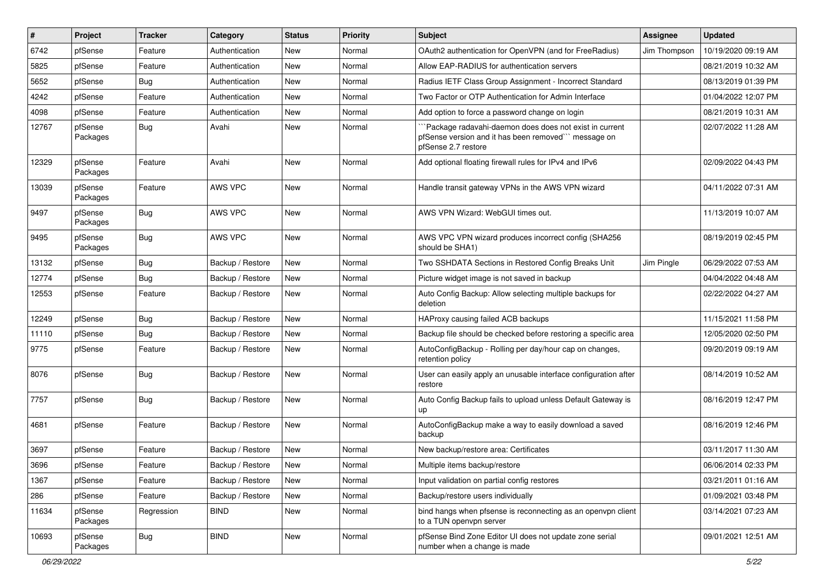| ∦     | Project             | <b>Tracker</b> | Category         | <b>Status</b> | <b>Priority</b> | <b>Subject</b>                                                                                                                        | <b>Assignee</b> | <b>Updated</b>      |
|-------|---------------------|----------------|------------------|---------------|-----------------|---------------------------------------------------------------------------------------------------------------------------------------|-----------------|---------------------|
| 6742  | pfSense             | Feature        | Authentication   | New           | Normal          | OAuth2 authentication for OpenVPN (and for FreeRadius)                                                                                | Jim Thompson    | 10/19/2020 09:19 AM |
| 5825  | pfSense             | Feature        | Authentication   | New           | Normal          | Allow EAP-RADIUS for authentication servers                                                                                           |                 | 08/21/2019 10:32 AM |
| 5652  | pfSense             | <b>Bug</b>     | Authentication   | New           | Normal          | Radius IETF Class Group Assignment - Incorrect Standard                                                                               |                 | 08/13/2019 01:39 PM |
| 4242  | pfSense             | Feature        | Authentication   | New           | Normal          | Two Factor or OTP Authentication for Admin Interface                                                                                  |                 | 01/04/2022 12:07 PM |
| 4098  | pfSense             | Feature        | Authentication   | New           | Normal          | Add option to force a password change on login                                                                                        |                 | 08/21/2019 10:31 AM |
| 12767 | pfSense<br>Packages | <b>Bug</b>     | Avahi            | New           | Normal          | `Package radavahi-daemon does does not exist in current<br>pfSense version and it has been removed" message on<br>pfSense 2.7 restore |                 | 02/07/2022 11:28 AM |
| 12329 | pfSense<br>Packages | Feature        | Avahi            | New           | Normal          | Add optional floating firewall rules for IPv4 and IPv6                                                                                |                 | 02/09/2022 04:43 PM |
| 13039 | pfSense<br>Packages | Feature        | AWS VPC          | New           | Normal          | Handle transit gateway VPNs in the AWS VPN wizard                                                                                     |                 | 04/11/2022 07:31 AM |
| 9497  | pfSense<br>Packages | Bug            | AWS VPC          | New           | Normal          | AWS VPN Wizard: WebGUI times out.                                                                                                     |                 | 11/13/2019 10:07 AM |
| 9495  | pfSense<br>Packages | <b>Bug</b>     | <b>AWS VPC</b>   | <b>New</b>    | Normal          | AWS VPC VPN wizard produces incorrect config (SHA256)<br>should be SHA1)                                                              |                 | 08/19/2019 02:45 PM |
| 13132 | pfSense             | <b>Bug</b>     | Backup / Restore | New           | Normal          | Two SSHDATA Sections in Restored Config Breaks Unit                                                                                   | Jim Pingle      | 06/29/2022 07:53 AM |
| 12774 | pfSense             | Bug            | Backup / Restore | New           | Normal          | Picture widget image is not saved in backup                                                                                           |                 | 04/04/2022 04:48 AM |
| 12553 | pfSense             | Feature        | Backup / Restore | New           | Normal          | Auto Config Backup: Allow selecting multiple backups for<br>deletion                                                                  |                 | 02/22/2022 04:27 AM |
| 12249 | pfSense             | <b>Bug</b>     | Backup / Restore | New           | Normal          | HAProxy causing failed ACB backups                                                                                                    |                 | 11/15/2021 11:58 PM |
| 11110 | pfSense             | Bug            | Backup / Restore | New           | Normal          | Backup file should be checked before restoring a specific area                                                                        |                 | 12/05/2020 02:50 PM |
| 9775  | pfSense             | Feature        | Backup / Restore | New           | Normal          | AutoConfigBackup - Rolling per day/hour cap on changes,<br>retention policy                                                           |                 | 09/20/2019 09:19 AM |
| 8076  | pfSense             | <b>Bug</b>     | Backup / Restore | New           | Normal          | User can easily apply an unusable interface configuration after<br>restore                                                            |                 | 08/14/2019 10:52 AM |
| 7757  | pfSense             | Bug            | Backup / Restore | New           | Normal          | Auto Config Backup fails to upload unless Default Gateway is<br>up                                                                    |                 | 08/16/2019 12:47 PM |
| 4681  | pfSense             | Feature        | Backup / Restore | New           | Normal          | AutoConfigBackup make a way to easily download a saved<br>backup                                                                      |                 | 08/16/2019 12:46 PM |
| 3697  | pfSense             | Feature        | Backup / Restore | New           | Normal          | New backup/restore area: Certificates                                                                                                 |                 | 03/11/2017 11:30 AM |
| 3696  | pfSense             | Feature        | Backup / Restore | New           | Normal          | Multiple items backup/restore                                                                                                         |                 | 06/06/2014 02:33 PM |
| 1367  | pfSense             | Feature        | Backup / Restore | New           | Normal          | Input validation on partial config restores                                                                                           |                 | 03/21/2011 01:16 AM |
| 286   | pfSense             | Feature        | Backup / Restore | New           | Normal          | Backup/restore users individually                                                                                                     |                 | 01/09/2021 03:48 PM |
| 11634 | pfSense<br>Packages | Regression     | <b>BIND</b>      | New           | Normal          | bind hangs when pfsense is reconnecting as an openvpn client<br>to a TUN openvpn server                                               |                 | 03/14/2021 07:23 AM |
| 10693 | pfSense<br>Packages | <b>Bug</b>     | <b>BIND</b>      | New           | Normal          | pfSense Bind Zone Editor UI does not update zone serial<br>number when a change is made                                               |                 | 09/01/2021 12:51 AM |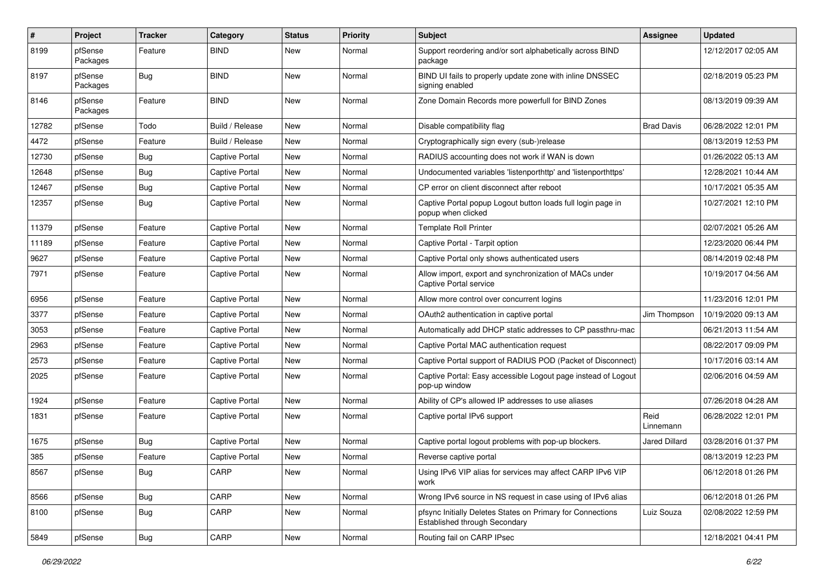| $\#$  | Project             | <b>Tracker</b> | Category              | <b>Status</b> | <b>Priority</b> | Subject                                                                                     | <b>Assignee</b>   | <b>Updated</b>      |
|-------|---------------------|----------------|-----------------------|---------------|-----------------|---------------------------------------------------------------------------------------------|-------------------|---------------------|
| 8199  | pfSense<br>Packages | Feature        | <b>BIND</b>           | New           | Normal          | Support reordering and/or sort alphabetically across BIND<br>package                        |                   | 12/12/2017 02:05 AM |
| 8197  | pfSense<br>Packages | Bug            | <b>BIND</b>           | New           | Normal          | BIND UI fails to properly update zone with inline DNSSEC<br>signing enabled                 |                   | 02/18/2019 05:23 PM |
| 8146  | pfSense<br>Packages | Feature        | <b>BIND</b>           | New           | Normal          | Zone Domain Records more powerfull for BIND Zones                                           |                   | 08/13/2019 09:39 AM |
| 12782 | pfSense             | Todo           | Build / Release       | New           | Normal          | Disable compatibility flag                                                                  | <b>Brad Davis</b> | 06/28/2022 12:01 PM |
| 4472  | pfSense             | Feature        | Build / Release       | <b>New</b>    | Normal          | Cryptographically sign every (sub-)release                                                  |                   | 08/13/2019 12:53 PM |
| 12730 | pfSense             | Bug            | <b>Captive Portal</b> | New           | Normal          | RADIUS accounting does not work if WAN is down                                              |                   | 01/26/2022 05:13 AM |
| 12648 | pfSense             | <b>Bug</b>     | <b>Captive Portal</b> | <b>New</b>    | Normal          | Undocumented variables 'listenporthttp' and 'listenporthttps'                               |                   | 12/28/2021 10:44 AM |
| 12467 | pfSense             | Bug            | Captive Portal        | New           | Normal          | CP error on client disconnect after reboot                                                  |                   | 10/17/2021 05:35 AM |
| 12357 | pfSense             | Bug            | <b>Captive Portal</b> | New           | Normal          | Captive Portal popup Logout button loads full login page in<br>popup when clicked           |                   | 10/27/2021 12:10 PM |
| 11379 | pfSense             | Feature        | Captive Portal        | <b>New</b>    | Normal          | <b>Template Roll Printer</b>                                                                |                   | 02/07/2021 05:26 AM |
| 11189 | pfSense             | Feature        | <b>Captive Portal</b> | New           | Normal          | Captive Portal - Tarpit option                                                              |                   | 12/23/2020 06:44 PM |
| 9627  | pfSense             | Feature        | <b>Captive Portal</b> | New           | Normal          | Captive Portal only shows authenticated users                                               |                   | 08/14/2019 02:48 PM |
| 7971  | pfSense             | Feature        | <b>Captive Portal</b> | New           | Normal          | Allow import, export and synchronization of MACs under<br>Captive Portal service            |                   | 10/19/2017 04:56 AM |
| 6956  | pfSense             | Feature        | Captive Portal        | New           | Normal          | Allow more control over concurrent logins                                                   |                   | 11/23/2016 12:01 PM |
| 3377  | pfSense             | Feature        | <b>Captive Portal</b> | New           | Normal          | OAuth2 authentication in captive portal                                                     | Jim Thompson      | 10/19/2020 09:13 AM |
| 3053  | pfSense             | Feature        | <b>Captive Portal</b> | New           | Normal          | Automatically add DHCP static addresses to CP passthru-mac                                  |                   | 06/21/2013 11:54 AM |
| 2963  | pfSense             | Feature        | <b>Captive Portal</b> | New           | Normal          | Captive Portal MAC authentication request                                                   |                   | 08/22/2017 09:09 PM |
| 2573  | pfSense             | Feature        | <b>Captive Portal</b> | New           | Normal          | Captive Portal support of RADIUS POD (Packet of Disconnect)                                 |                   | 10/17/2016 03:14 AM |
| 2025  | pfSense             | Feature        | <b>Captive Portal</b> | New           | Normal          | Captive Portal: Easy accessible Logout page instead of Logout<br>pop-up window              |                   | 02/06/2016 04:59 AM |
| 1924  | pfSense             | Feature        | <b>Captive Portal</b> | New           | Normal          | Ability of CP's allowed IP addresses to use aliases                                         |                   | 07/26/2018 04:28 AM |
| 1831  | pfSense             | Feature        | <b>Captive Portal</b> | New           | Normal          | Captive portal IPv6 support                                                                 | Reid<br>Linnemann | 06/28/2022 12:01 PM |
| 1675  | pfSense             | Bug            | <b>Captive Portal</b> | New           | Normal          | Captive portal logout problems with pop-up blockers.                                        | Jared Dillard     | 03/28/2016 01:37 PM |
| 385   | pfSense             | Feature        | <b>Captive Portal</b> | New           | Normal          | Reverse captive portal                                                                      |                   | 08/13/2019 12:23 PM |
| 8567  | pfSense             | <b>Bug</b>     | CARP                  | New           | Normal          | Using IPv6 VIP alias for services may affect CARP IPv6 VIP<br>work                          |                   | 06/12/2018 01:26 PM |
| 8566  | pfSense             | Bug            | CARP                  | New           | Normal          | Wrong IPv6 source in NS request in case using of IPv6 alias                                 |                   | 06/12/2018 01:26 PM |
| 8100  | pfSense             | <b>Bug</b>     | CARP                  | New           | Normal          | pfsync Initially Deletes States on Primary for Connections<br>Established through Secondary | Luiz Souza        | 02/08/2022 12:59 PM |
| 5849  | pfSense             | Bug            | CARP                  | New           | Normal          | Routing fail on CARP IPsec                                                                  |                   | 12/18/2021 04:41 PM |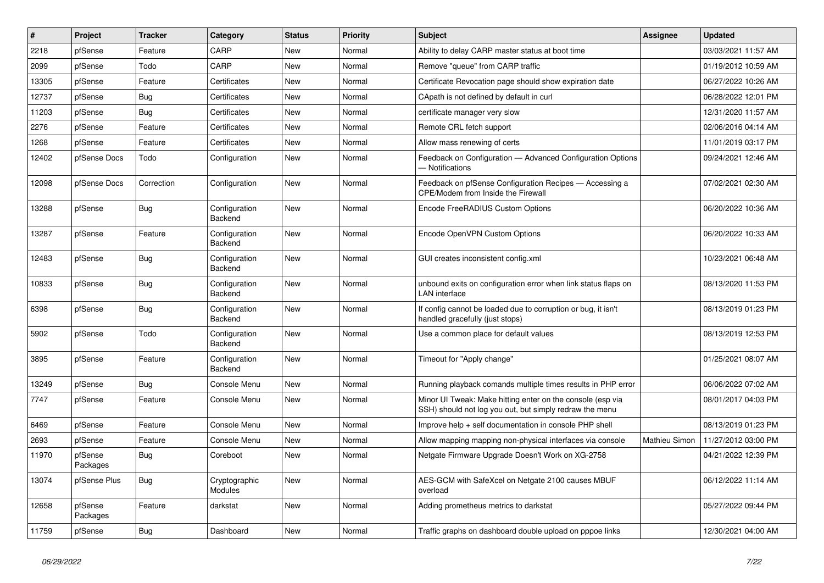| #     | Project             | <b>Tracker</b> | Category                 | <b>Status</b> | <b>Priority</b> | <b>Subject</b>                                                                                                        | <b>Assignee</b> | <b>Updated</b>      |
|-------|---------------------|----------------|--------------------------|---------------|-----------------|-----------------------------------------------------------------------------------------------------------------------|-----------------|---------------------|
| 2218  | pfSense             | Feature        | CARP                     | <b>New</b>    | Normal          | Ability to delay CARP master status at boot time                                                                      |                 | 03/03/2021 11:57 AM |
| 2099  | pfSense             | Todo           | CARP                     | New           | Normal          | Remove "queue" from CARP traffic                                                                                      |                 | 01/19/2012 10:59 AM |
| 13305 | pfSense             | Feature        | Certificates             | <b>New</b>    | Normal          | Certificate Revocation page should show expiration date                                                               |                 | 06/27/2022 10:26 AM |
| 12737 | pfSense             | <b>Bug</b>     | Certificates             | <b>New</b>    | Normal          | CApath is not defined by default in curl                                                                              |                 | 06/28/2022 12:01 PM |
| 11203 | pfSense             | Bug            | Certificates             | <b>New</b>    | Normal          | certificate manager very slow                                                                                         |                 | 12/31/2020 11:57 AM |
| 2276  | pfSense             | Feature        | Certificates             | <b>New</b>    | Normal          | Remote CRL fetch support                                                                                              |                 | 02/06/2016 04:14 AM |
| 1268  | pfSense             | Feature        | Certificates             | <b>New</b>    | Normal          | Allow mass renewing of certs                                                                                          |                 | 11/01/2019 03:17 PM |
| 12402 | pfSense Docs        | Todo           | Configuration            | <b>New</b>    | Normal          | Feedback on Configuration - Advanced Configuration Options<br>- Notifications                                         |                 | 09/24/2021 12:46 AM |
| 12098 | pfSense Docs        | Correction     | Configuration            | <b>New</b>    | Normal          | Feedback on pfSense Configuration Recipes - Accessing a<br>CPE/Modem from Inside the Firewall                         |                 | 07/02/2021 02:30 AM |
| 13288 | pfSense             | Bug            | Configuration<br>Backend | New           | Normal          | Encode FreeRADIUS Custom Options                                                                                      |                 | 06/20/2022 10:36 AM |
| 13287 | pfSense             | Feature        | Configuration<br>Backend | <b>New</b>    | Normal          | Encode OpenVPN Custom Options                                                                                         |                 | 06/20/2022 10:33 AM |
| 12483 | pfSense             | <b>Bug</b>     | Configuration<br>Backend | <b>New</b>    | Normal          | GUI creates inconsistent config.xml                                                                                   |                 | 10/23/2021 06:48 AM |
| 10833 | pfSense             | Bug            | Configuration<br>Backend | New           | Normal          | unbound exits on configuration error when link status flaps on<br><b>LAN</b> interface                                |                 | 08/13/2020 11:53 PM |
| 6398  | pfSense             | <b>Bug</b>     | Configuration<br>Backend | New           | Normal          | If config cannot be loaded due to corruption or bug, it isn't<br>handled gracefully (just stops)                      |                 | 08/13/2019 01:23 PM |
| 5902  | pfSense             | Todo           | Configuration<br>Backend | <b>New</b>    | Normal          | Use a common place for default values                                                                                 |                 | 08/13/2019 12:53 PM |
| 3895  | pfSense             | Feature        | Configuration<br>Backend | New           | Normal          | Timeout for "Apply change"                                                                                            |                 | 01/25/2021 08:07 AM |
| 13249 | pfSense             | <b>Bug</b>     | Console Menu             | <b>New</b>    | Normal          | Running playback comands multiple times results in PHP error                                                          |                 | 06/06/2022 07:02 AM |
| 7747  | pfSense             | Feature        | Console Menu             | <b>New</b>    | Normal          | Minor UI Tweak: Make hitting enter on the console (esp via<br>SSH) should not log you out, but simply redraw the menu |                 | 08/01/2017 04:03 PM |
| 6469  | pfSense             | Feature        | Console Menu             | <b>New</b>    | Normal          | Improve help + self documentation in console PHP shell                                                                |                 | 08/13/2019 01:23 PM |
| 2693  | pfSense             | Feature        | Console Menu             | <b>New</b>    | Normal          | Allow mapping mapping non-physical interfaces via console                                                             | Mathieu Simon   | 11/27/2012 03:00 PM |
| 11970 | pfSense<br>Packages | <b>Bug</b>     | Coreboot                 | <b>New</b>    | Normal          | Netgate Firmware Upgrade Doesn't Work on XG-2758                                                                      |                 | 04/21/2022 12:39 PM |
| 13074 | pfSense Plus        | <b>Bug</b>     | Cryptographic<br>Modules | <b>New</b>    | Normal          | AES-GCM with SafeXcel on Netgate 2100 causes MBUF<br>overload                                                         |                 | 06/12/2022 11:14 AM |
| 12658 | pfSense<br>Packages | Feature        | darkstat                 | <b>New</b>    | Normal          | Adding prometheus metrics to darkstat                                                                                 |                 | 05/27/2022 09:44 PM |
| 11759 | pfSense             | <b>Bug</b>     | Dashboard                | New           | Normal          | Traffic graphs on dashboard double upload on pppoe links                                                              |                 | 12/30/2021 04:00 AM |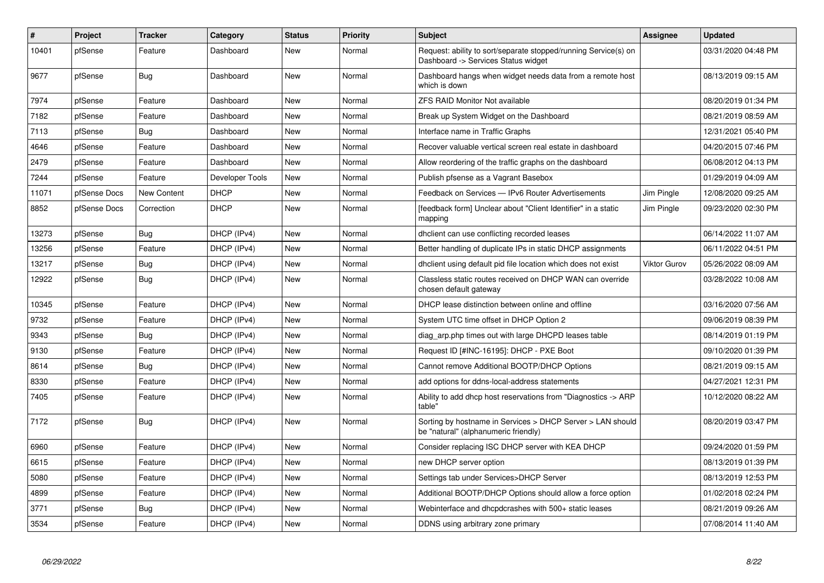| $\vert$ # | Project      | <b>Tracker</b> | Category        | <b>Status</b> | <b>Priority</b> | <b>Subject</b>                                                                                         | Assignee     | <b>Updated</b>      |
|-----------|--------------|----------------|-----------------|---------------|-----------------|--------------------------------------------------------------------------------------------------------|--------------|---------------------|
| 10401     | pfSense      | Feature        | Dashboard       | <b>New</b>    | Normal          | Request: ability to sort/separate stopped/running Service(s) on<br>Dashboard -> Services Status widget |              | 03/31/2020 04:48 PM |
| 9677      | pfSense      | Bug            | Dashboard       | New           | Normal          | Dashboard hangs when widget needs data from a remote host<br>which is down                             |              | 08/13/2019 09:15 AM |
| 7974      | pfSense      | Feature        | Dashboard       | New           | Normal          | <b>ZFS RAID Monitor Not available</b>                                                                  |              | 08/20/2019 01:34 PM |
| 7182      | pfSense      | Feature        | Dashboard       | New           | Normal          | Break up System Widget on the Dashboard                                                                |              | 08/21/2019 08:59 AM |
| 7113      | pfSense      | <b>Bug</b>     | Dashboard       | New           | Normal          | Interface name in Traffic Graphs                                                                       |              | 12/31/2021 05:40 PM |
| 4646      | pfSense      | Feature        | Dashboard       | <b>New</b>    | Normal          | Recover valuable vertical screen real estate in dashboard                                              |              | 04/20/2015 07:46 PM |
| 2479      | pfSense      | Feature        | Dashboard       | <b>New</b>    | Normal          | Allow reordering of the traffic graphs on the dashboard                                                |              | 06/08/2012 04:13 PM |
| 7244      | pfSense      | Feature        | Developer Tools | <b>New</b>    | Normal          | Publish pfsense as a Vagrant Basebox                                                                   |              | 01/29/2019 04:09 AM |
| 11071     | pfSense Docs | New Content    | <b>DHCP</b>     | <b>New</b>    | Normal          | Feedback on Services - IPv6 Router Advertisements                                                      | Jim Pingle   | 12/08/2020 09:25 AM |
| 8852      | pfSense Docs | Correction     | <b>DHCP</b>     | <b>New</b>    | Normal          | [feedback form] Unclear about "Client Identifier" in a static<br>mapping                               | Jim Pingle   | 09/23/2020 02:30 PM |
| 13273     | pfSense      | <b>Bug</b>     | DHCP (IPv4)     | <b>New</b>    | Normal          | dhclient can use conflicting recorded leases                                                           |              | 06/14/2022 11:07 AM |
| 13256     | pfSense      | Feature        | DHCP (IPv4)     | <b>New</b>    | Normal          | Better handling of duplicate IPs in static DHCP assignments                                            |              | 06/11/2022 04:51 PM |
| 13217     | pfSense      | Bug            | DHCP (IPv4)     | New           | Normal          | dholient using default pid file location which does not exist                                          | Viktor Gurov | 05/26/2022 08:09 AM |
| 12922     | pfSense      | <b>Bug</b>     | DHCP (IPv4)     | New           | Normal          | Classless static routes received on DHCP WAN can override<br>chosen default gateway                    |              | 03/28/2022 10:08 AM |
| 10345     | pfSense      | Feature        | DHCP (IPv4)     | New           | Normal          | DHCP lease distinction between online and offline                                                      |              | 03/16/2020 07:56 AM |
| 9732      | pfSense      | Feature        | DHCP (IPv4)     | New           | Normal          | System UTC time offset in DHCP Option 2                                                                |              | 09/06/2019 08:39 PM |
| 9343      | pfSense      | Bug            | DHCP (IPv4)     | New           | Normal          | diag arp.php times out with large DHCPD leases table                                                   |              | 08/14/2019 01:19 PM |
| 9130      | pfSense      | Feature        | DHCP (IPv4)     | New           | Normal          | Request ID [#INC-16195]: DHCP - PXE Boot                                                               |              | 09/10/2020 01:39 PM |
| 8614      | pfSense      | Bug            | DHCP (IPv4)     | New           | Normal          | Cannot remove Additional BOOTP/DHCP Options                                                            |              | 08/21/2019 09:15 AM |
| 8330      | pfSense      | Feature        | DHCP (IPv4)     | <b>New</b>    | Normal          | add options for ddns-local-address statements                                                          |              | 04/27/2021 12:31 PM |
| 7405      | pfSense      | Feature        | DHCP (IPv4)     | New           | Normal          | Ability to add dhcp host reservations from "Diagnostics -> ARP<br>table"                               |              | 10/12/2020 08:22 AM |
| 7172      | pfSense      | <b>Bug</b>     | DHCP (IPv4)     | New           | Normal          | Sorting by hostname in Services > DHCP Server > LAN should<br>be "natural" (alphanumeric friendly)     |              | 08/20/2019 03:47 PM |
| 6960      | pfSense      | Feature        | DHCP (IPv4)     | <b>New</b>    | Normal          | Consider replacing ISC DHCP server with KEA DHCP                                                       |              | 09/24/2020 01:59 PM |
| 6615      | pfSense      | Feature        | DHCP (IPv4)     | New           | Normal          | new DHCP server option                                                                                 |              | 08/13/2019 01:39 PM |
| 5080      | pfSense      | Feature        | DHCP (IPv4)     | <b>New</b>    | Normal          | Settings tab under Services>DHCP Server                                                                |              | 08/13/2019 12:53 PM |
| 4899      | pfSense      | Feature        | DHCP (IPv4)     | New           | Normal          | Additional BOOTP/DHCP Options should allow a force option                                              |              | 01/02/2018 02:24 PM |
| 3771      | pfSense      | Bug            | DHCP (IPv4)     | <b>New</b>    | Normal          | Webinterface and dhcpdcrashes with 500+ static leases                                                  |              | 08/21/2019 09:26 AM |
| 3534      | pfSense      | Feature        | DHCP (IPv4)     | New           | Normal          | DDNS using arbitrary zone primary                                                                      |              | 07/08/2014 11:40 AM |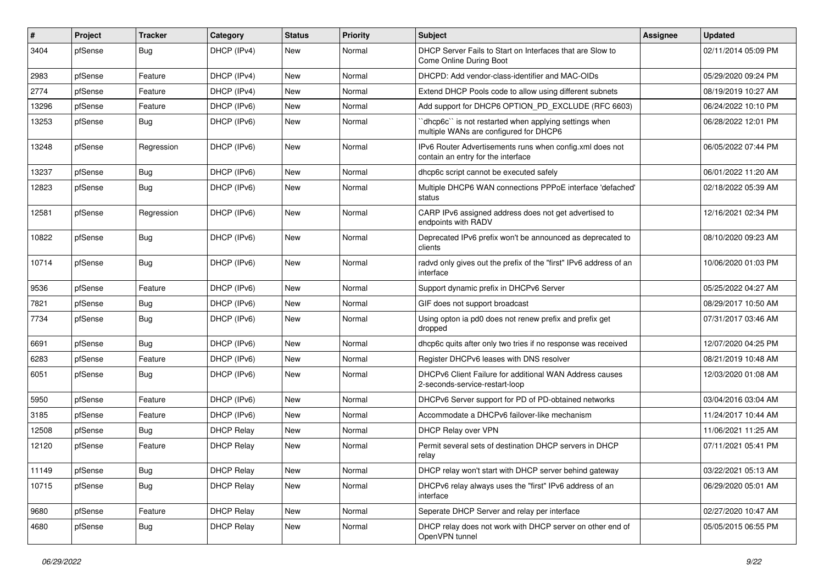| $\#$  | Project | <b>Tracker</b> | Category          | <b>Status</b> | <b>Priority</b> | Subject                                                                                          | <b>Assignee</b> | <b>Updated</b>      |
|-------|---------|----------------|-------------------|---------------|-----------------|--------------------------------------------------------------------------------------------------|-----------------|---------------------|
| 3404  | pfSense | <b>Bug</b>     | DHCP (IPv4)       | <b>New</b>    | Normal          | DHCP Server Fails to Start on Interfaces that are Slow to<br>Come Online During Boot             |                 | 02/11/2014 05:09 PM |
| 2983  | pfSense | Feature        | DHCP (IPv4)       | <b>New</b>    | Normal          | DHCPD: Add vendor-class-identifier and MAC-OIDs                                                  |                 | 05/29/2020 09:24 PM |
| 2774  | pfSense | Feature        | DHCP (IPv4)       | <b>New</b>    | Normal          | Extend DHCP Pools code to allow using different subnets                                          |                 | 08/19/2019 10:27 AM |
| 13296 | pfSense | Feature        | DHCP (IPv6)       | <b>New</b>    | Normal          | Add support for DHCP6 OPTION_PD_EXCLUDE (RFC 6603)                                               |                 | 06/24/2022 10:10 PM |
| 13253 | pfSense | <b>Bug</b>     | DHCP (IPv6)       | <b>New</b>    | Normal          | 'dhcp6c'' is not restarted when applying settings when<br>multiple WANs are configured for DHCP6 |                 | 06/28/2022 12:01 PM |
| 13248 | pfSense | Regression     | DHCP (IPv6)       | New           | Normal          | IPv6 Router Advertisements runs when config.xml does not<br>contain an entry for the interface   |                 | 06/05/2022 07:44 PM |
| 13237 | pfSense | <b>Bug</b>     | DHCP (IPv6)       | <b>New</b>    | Normal          | dhcp6c script cannot be executed safely                                                          |                 | 06/01/2022 11:20 AM |
| 12823 | pfSense | Bug            | DHCP (IPv6)       | <b>New</b>    | Normal          | Multiple DHCP6 WAN connections PPPoE interface 'defached'<br>status                              |                 | 02/18/2022 05:39 AM |
| 12581 | pfSense | Regression     | DHCP (IPv6)       | <b>New</b>    | Normal          | CARP IPv6 assigned address does not get advertised to<br>endpoints with RADV                     |                 | 12/16/2021 02:34 PM |
| 10822 | pfSense | <b>Bug</b>     | DHCP (IPv6)       | New           | Normal          | Deprecated IPv6 prefix won't be announced as deprecated to<br>clients                            |                 | 08/10/2020 09:23 AM |
| 10714 | pfSense | <b>Bug</b>     | DHCP (IPv6)       | <b>New</b>    | Normal          | radvd only gives out the prefix of the "first" IPv6 address of an<br>interface                   |                 | 10/06/2020 01:03 PM |
| 9536  | pfSense | Feature        | DHCP (IPv6)       | <b>New</b>    | Normal          | Support dynamic prefix in DHCPv6 Server                                                          |                 | 05/25/2022 04:27 AM |
| 7821  | pfSense | <b>Bug</b>     | DHCP (IPv6)       | New           | Normal          | GIF does not support broadcast                                                                   |                 | 08/29/2017 10:50 AM |
| 7734  | pfSense | <b>Bug</b>     | DHCP (IPv6)       | <b>New</b>    | Normal          | Using opton ia pd0 does not renew prefix and prefix get<br>dropped                               |                 | 07/31/2017 03:46 AM |
| 6691  | pfSense | <b>Bug</b>     | DHCP (IPv6)       | New           | Normal          | dhcp6c quits after only two tries if no response was received                                    |                 | 12/07/2020 04:25 PM |
| 6283  | pfSense | Feature        | DHCP (IPv6)       | New           | Normal          | Register DHCPv6 leases with DNS resolver                                                         |                 | 08/21/2019 10:48 AM |
| 6051  | pfSense | <b>Bug</b>     | DHCP (IPv6)       | New           | Normal          | DHCPv6 Client Failure for additional WAN Address causes<br>2-seconds-service-restart-loop        |                 | 12/03/2020 01:08 AM |
| 5950  | pfSense | Feature        | DHCP (IPv6)       | New           | Normal          | DHCPv6 Server support for PD of PD-obtained networks                                             |                 | 03/04/2016 03:04 AM |
| 3185  | pfSense | Feature        | DHCP (IPv6)       | <b>New</b>    | Normal          | Accommodate a DHCPv6 failover-like mechanism                                                     |                 | 11/24/2017 10:44 AM |
| 12508 | pfSense | <b>Bug</b>     | <b>DHCP Relay</b> | New           | Normal          | DHCP Relay over VPN                                                                              |                 | 11/06/2021 11:25 AM |
| 12120 | pfSense | Feature        | <b>DHCP Relay</b> | <b>New</b>    | Normal          | Permit several sets of destination DHCP servers in DHCP<br>relay                                 |                 | 07/11/2021 05:41 PM |
| 11149 | pfSense | <b>Bug</b>     | <b>DHCP Relay</b> | New           | Normal          | DHCP relay won't start with DHCP server behind gateway                                           |                 | 03/22/2021 05:13 AM |
| 10715 | pfSense | Bug            | <b>DHCP Relay</b> | New           | Normal          | DHCPv6 relay always uses the "first" IPv6 address of an<br>interface                             |                 | 06/29/2020 05:01 AM |
| 9680  | pfSense | Feature        | <b>DHCP Relay</b> | New           | Normal          | Seperate DHCP Server and relay per interface                                                     |                 | 02/27/2020 10:47 AM |
| 4680  | pfSense | <b>Bug</b>     | <b>DHCP Relay</b> | New           | Normal          | DHCP relay does not work with DHCP server on other end of<br>OpenVPN tunnel                      |                 | 05/05/2015 06:55 PM |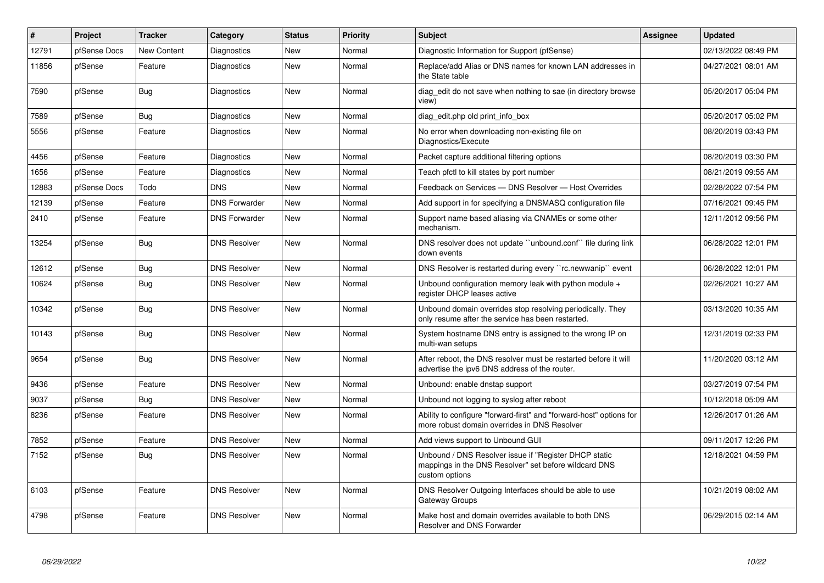| $\vert$ # | Project      | <b>Tracker</b> | Category             | <b>Status</b> | <b>Priority</b> | <b>Subject</b>                                                                                                                   | <b>Assignee</b> | <b>Updated</b>      |
|-----------|--------------|----------------|----------------------|---------------|-----------------|----------------------------------------------------------------------------------------------------------------------------------|-----------------|---------------------|
| 12791     | pfSense Docs | New Content    | Diagnostics          | <b>New</b>    | Normal          | Diagnostic Information for Support (pfSense)                                                                                     |                 | 02/13/2022 08:49 PM |
| 11856     | pfSense      | Feature        | Diagnostics          | <b>New</b>    | Normal          | Replace/add Alias or DNS names for known LAN addresses in<br>the State table                                                     |                 | 04/27/2021 08:01 AM |
| 7590      | pfSense      | Bug            | Diagnostics          | New           | Normal          | diag edit do not save when nothing to sae (in directory browse<br>view)                                                          |                 | 05/20/2017 05:04 PM |
| 7589      | pfSense      | <b>Bug</b>     | Diagnostics          | New           | Normal          | diag edit.php old print info box                                                                                                 |                 | 05/20/2017 05:02 PM |
| 5556      | pfSense      | Feature        | Diagnostics          | <b>New</b>    | Normal          | No error when downloading non-existing file on<br>Diagnostics/Execute                                                            |                 | 08/20/2019 03:43 PM |
| 4456      | pfSense      | Feature        | Diagnostics          | <b>New</b>    | Normal          | Packet capture additional filtering options                                                                                      |                 | 08/20/2019 03:30 PM |
| 1656      | pfSense      | Feature        | Diagnostics          | <b>New</b>    | Normal          | Teach pfctl to kill states by port number                                                                                        |                 | 08/21/2019 09:55 AM |
| 12883     | pfSense Docs | Todo           | <b>DNS</b>           | <b>New</b>    | Normal          | Feedback on Services - DNS Resolver - Host Overrides                                                                             |                 | 02/28/2022 07:54 PM |
| 12139     | pfSense      | Feature        | <b>DNS Forwarder</b> | <b>New</b>    | Normal          | Add support in for specifying a DNSMASQ configuration file                                                                       |                 | 07/16/2021 09:45 PM |
| 2410      | pfSense      | Feature        | <b>DNS Forwarder</b> | <b>New</b>    | Normal          | Support name based aliasing via CNAMEs or some other<br>mechanism.                                                               |                 | 12/11/2012 09:56 PM |
| 13254     | pfSense      | <b>Bug</b>     | <b>DNS Resolver</b>  | <b>New</b>    | Normal          | DNS resolver does not update "unbound.conf" file during link<br>down events                                                      |                 | 06/28/2022 12:01 PM |
| 12612     | pfSense      | Bug            | <b>DNS Resolver</b>  | New           | Normal          | DNS Resolver is restarted during every "rc.newwanip" event                                                                       |                 | 06/28/2022 12:01 PM |
| 10624     | pfSense      | Bug            | <b>DNS Resolver</b>  | <b>New</b>    | Normal          | Unbound configuration memory leak with python module +<br>register DHCP leases active                                            |                 | 02/26/2021 10:27 AM |
| 10342     | pfSense      | Bug            | <b>DNS Resolver</b>  | New           | Normal          | Unbound domain overrides stop resolving periodically. They<br>only resume after the service has been restarted.                  |                 | 03/13/2020 10:35 AM |
| 10143     | pfSense      | <b>Bug</b>     | <b>DNS Resolver</b>  | New           | Normal          | System hostname DNS entry is assigned to the wrong IP on<br>multi-wan setups                                                     |                 | 12/31/2019 02:33 PM |
| 9654      | pfSense      | Bug            | <b>DNS Resolver</b>  | New           | Normal          | After reboot, the DNS resolver must be restarted before it will<br>advertise the ipv6 DNS address of the router.                 |                 | 11/20/2020 03:12 AM |
| 9436      | pfSense      | Feature        | <b>DNS Resolver</b>  | New           | Normal          | Unbound: enable dnstap support                                                                                                   |                 | 03/27/2019 07:54 PM |
| 9037      | pfSense      | <b>Bug</b>     | <b>DNS Resolver</b>  | <b>New</b>    | Normal          | Unbound not logging to syslog after reboot                                                                                       |                 | 10/12/2018 05:09 AM |
| 8236      | pfSense      | Feature        | <b>DNS Resolver</b>  | New           | Normal          | Ability to configure "forward-first" and "forward-host" options for<br>more robust domain overrides in DNS Resolver              |                 | 12/26/2017 01:26 AM |
| 7852      | pfSense      | Feature        | <b>DNS Resolver</b>  | New           | Normal          | Add views support to Unbound GUI                                                                                                 |                 | 09/11/2017 12:26 PM |
| 7152      | pfSense      | Bug            | <b>DNS Resolver</b>  | <b>New</b>    | Normal          | Unbound / DNS Resolver issue if "Register DHCP static<br>mappings in the DNS Resolver" set before wildcard DNS<br>custom options |                 | 12/18/2021 04:59 PM |
| 6103      | pfSense      | Feature        | <b>DNS Resolver</b>  | New           | Normal          | DNS Resolver Outgoing Interfaces should be able to use<br>Gateway Groups                                                         |                 | 10/21/2019 08:02 AM |
| 4798      | pfSense      | Feature        | <b>DNS Resolver</b>  | <b>New</b>    | Normal          | Make host and domain overrides available to both DNS<br>Resolver and DNS Forwarder                                               |                 | 06/29/2015 02:14 AM |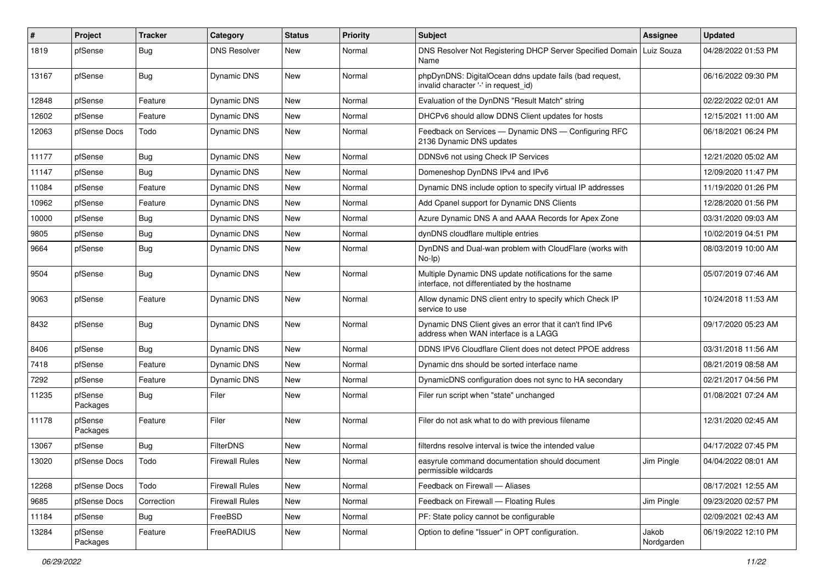| $\#$  | Project             | <b>Tracker</b> | Category              | <b>Status</b> | <b>Priority</b> | Subject                                                                                                 | Assignee            | <b>Updated</b>      |
|-------|---------------------|----------------|-----------------------|---------------|-----------------|---------------------------------------------------------------------------------------------------------|---------------------|---------------------|
| 1819  | pfSense             | Bug            | <b>DNS Resolver</b>   | New           | Normal          | DNS Resolver Not Registering DHCP Server Specified Domain<br>Name                                       | Luiz Souza          | 04/28/2022 01:53 PM |
| 13167 | pfSense             | Bug            | <b>Dynamic DNS</b>    | New           | Normal          | phpDynDNS: DigitalOcean ddns update fails (bad request,<br>invalid character '-' in request id)         |                     | 06/16/2022 09:30 PM |
| 12848 | pfSense             | Feature        | Dynamic DNS           | <b>New</b>    | Normal          | Evaluation of the DynDNS "Result Match" string                                                          |                     | 02/22/2022 02:01 AM |
| 12602 | pfSense             | Feature        | <b>Dynamic DNS</b>    | New           | Normal          | DHCPv6 should allow DDNS Client updates for hosts                                                       |                     | 12/15/2021 11:00 AM |
| 12063 | pfSense Docs        | Todo           | <b>Dynamic DNS</b>    | New           | Normal          | Feedback on Services - Dynamic DNS - Configuring RFC<br>2136 Dynamic DNS updates                        |                     | 06/18/2021 06:24 PM |
| 11177 | pfSense             | Bug            | Dynamic DNS           | <b>New</b>    | Normal          | DDNSv6 not using Check IP Services                                                                      |                     | 12/21/2020 05:02 AM |
| 11147 | pfSense             | <b>Bug</b>     | Dynamic DNS           | New           | Normal          | Domeneshop DynDNS IPv4 and IPv6                                                                         |                     | 12/09/2020 11:47 PM |
| 11084 | pfSense             | Feature        | Dynamic DNS           | New           | Normal          | Dynamic DNS include option to specify virtual IP addresses                                              |                     | 11/19/2020 01:26 PM |
| 10962 | pfSense             | Feature        | Dynamic DNS           | New           | Normal          | Add Cpanel support for Dynamic DNS Clients                                                              |                     | 12/28/2020 01:56 PM |
| 10000 | pfSense             | <b>Bug</b>     | Dynamic DNS           | New           | Normal          | Azure Dynamic DNS A and AAAA Records for Apex Zone                                                      |                     | 03/31/2020 09:03 AM |
| 9805  | pfSense             | Bug            | Dynamic DNS           | New           | Normal          | dynDNS cloudflare multiple entries                                                                      |                     | 10/02/2019 04:51 PM |
| 9664  | pfSense             | Bug            | Dynamic DNS           | New           | Normal          | DynDNS and Dual-wan problem with CloudFlare (works with<br>$No-Ip)$                                     |                     | 08/03/2019 10:00 AM |
| 9504  | pfSense             | Bug            | <b>Dynamic DNS</b>    | New           | Normal          | Multiple Dynamic DNS update notifications for the same<br>interface, not differentiated by the hostname |                     | 05/07/2019 07:46 AM |
| 9063  | pfSense             | Feature        | Dynamic DNS           | <b>New</b>    | Normal          | Allow dynamic DNS client entry to specify which Check IP<br>service to use                              |                     | 10/24/2018 11:53 AM |
| 8432  | pfSense             | Bug            | Dynamic DNS           | <b>New</b>    | Normal          | Dynamic DNS Client gives an error that it can't find IPv6<br>address when WAN interface is a LAGG       |                     | 09/17/2020 05:23 AM |
| 8406  | pfSense             | Bug            | Dynamic DNS           | <b>New</b>    | Normal          | DDNS IPV6 Cloudflare Client does not detect PPOE address                                                |                     | 03/31/2018 11:56 AM |
| 7418  | pfSense             | Feature        | Dynamic DNS           | New           | Normal          | Dynamic dns should be sorted interface name                                                             |                     | 08/21/2019 08:58 AM |
| 7292  | pfSense             | Feature        | Dynamic DNS           | New           | Normal          | DynamicDNS configuration does not sync to HA secondary                                                  |                     | 02/21/2017 04:56 PM |
| 11235 | pfSense<br>Packages | <b>Bug</b>     | Filer                 | New           | Normal          | Filer run script when "state" unchanged                                                                 |                     | 01/08/2021 07:24 AM |
| 11178 | pfSense<br>Packages | Feature        | Filer                 | New           | Normal          | Filer do not ask what to do with previous filename                                                      |                     | 12/31/2020 02:45 AM |
| 13067 | pfSense             | Bug            | <b>FilterDNS</b>      | New           | Normal          | filterdns resolve interval is twice the intended value                                                  |                     | 04/17/2022 07:45 PM |
| 13020 | pfSense Docs        | Todo           | <b>Firewall Rules</b> | New           | Normal          | easyrule command documentation should document<br>permissible wildcards                                 | Jim Pingle          | 04/04/2022 08:01 AM |
| 12268 | pfSense Docs        | Todo           | <b>Firewall Rules</b> | New           | Normal          | Feedback on Firewall - Aliases                                                                          |                     | 08/17/2021 12:55 AM |
| 9685  | pfSense Docs        | Correction     | <b>Firewall Rules</b> | New           | Normal          | Feedback on Firewall - Floating Rules                                                                   | Jim Pingle          | 09/23/2020 02:57 PM |
| 11184 | pfSense             | Bug            | FreeBSD               | New           | Normal          | PF: State policy cannot be configurable                                                                 |                     | 02/09/2021 02:43 AM |
| 13284 | pfSense<br>Packages | Feature        | FreeRADIUS            | New           | Normal          | Option to define "Issuer" in OPT configuration.                                                         | Jakob<br>Nordgarden | 06/19/2022 12:10 PM |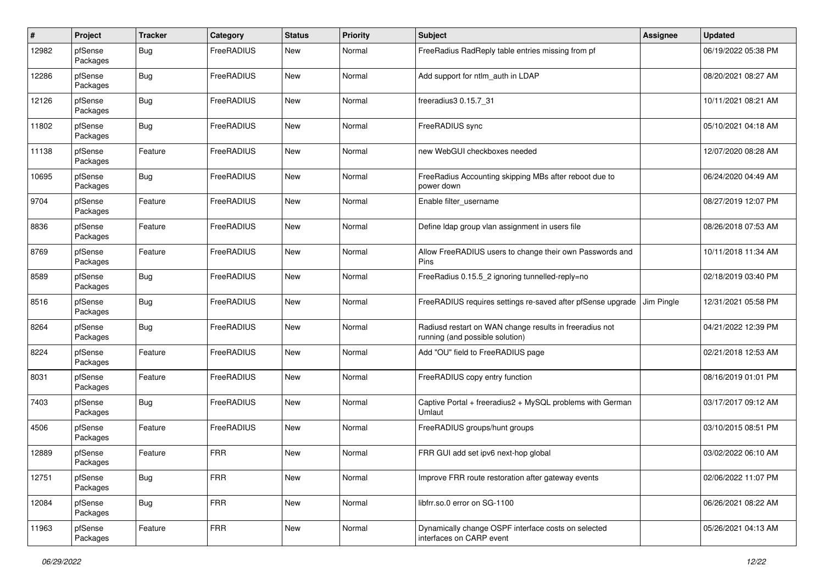| #     | Project             | <b>Tracker</b> | Category   | <b>Status</b> | <b>Priority</b> | <b>Subject</b>                                                                             | <b>Assignee</b> | <b>Updated</b>      |
|-------|---------------------|----------------|------------|---------------|-----------------|--------------------------------------------------------------------------------------------|-----------------|---------------------|
| 12982 | pfSense<br>Packages | <b>Bug</b>     | FreeRADIUS | New           | Normal          | FreeRadius RadReply table entries missing from pf                                          |                 | 06/19/2022 05:38 PM |
| 12286 | pfSense<br>Packages | <b>Bug</b>     | FreeRADIUS | <b>New</b>    | Normal          | Add support for ntlm_auth in LDAP                                                          |                 | 08/20/2021 08:27 AM |
| 12126 | pfSense<br>Packages | <b>Bug</b>     | FreeRADIUS | New           | Normal          | freeradius3 0.15.7_31                                                                      |                 | 10/11/2021 08:21 AM |
| 11802 | pfSense<br>Packages | <b>Bug</b>     | FreeRADIUS | New           | Normal          | FreeRADIUS sync                                                                            |                 | 05/10/2021 04:18 AM |
| 11138 | pfSense<br>Packages | Feature        | FreeRADIUS | New           | Normal          | new WebGUI checkboxes needed                                                               |                 | 12/07/2020 08:28 AM |
| 10695 | pfSense<br>Packages | Bug            | FreeRADIUS | New           | Normal          | FreeRadius Accounting skipping MBs after reboot due to<br>power down                       |                 | 06/24/2020 04:49 AM |
| 9704  | pfSense<br>Packages | Feature        | FreeRADIUS | New           | Normal          | Enable filter_username                                                                     |                 | 08/27/2019 12:07 PM |
| 8836  | pfSense<br>Packages | Feature        | FreeRADIUS | New           | Normal          | Define Idap group vlan assignment in users file                                            |                 | 08/26/2018 07:53 AM |
| 8769  | pfSense<br>Packages | Feature        | FreeRADIUS | New           | Normal          | Allow FreeRADIUS users to change their own Passwords and<br>Pins                           |                 | 10/11/2018 11:34 AM |
| 8589  | pfSense<br>Packages | <b>Bug</b>     | FreeRADIUS | New           | Normal          | FreeRadius 0.15.5_2 ignoring tunnelled-reply=no                                            |                 | 02/18/2019 03:40 PM |
| 8516  | pfSense<br>Packages | <b>Bug</b>     | FreeRADIUS | New           | Normal          | FreeRADIUS requires settings re-saved after pfSense upgrade                                | Jim Pingle      | 12/31/2021 05:58 PM |
| 8264  | pfSense<br>Packages | <b>Bug</b>     | FreeRADIUS | New           | Normal          | Radiusd restart on WAN change results in freeradius not<br>running (and possible solution) |                 | 04/21/2022 12:39 PM |
| 8224  | pfSense<br>Packages | Feature        | FreeRADIUS | New           | Normal          | Add "OU" field to FreeRADIUS page                                                          |                 | 02/21/2018 12:53 AM |
| 8031  | pfSense<br>Packages | Feature        | FreeRADIUS | New           | Normal          | FreeRADIUS copy entry function                                                             |                 | 08/16/2019 01:01 PM |
| 7403  | pfSense<br>Packages | <b>Bug</b>     | FreeRADIUS | New           | Normal          | Captive Portal + freeradius2 + MySQL problems with German<br>Umlaut                        |                 | 03/17/2017 09:12 AM |
| 4506  | pfSense<br>Packages | Feature        | FreeRADIUS | New           | Normal          | FreeRADIUS groups/hunt groups                                                              |                 | 03/10/2015 08:51 PM |
| 12889 | pfSense<br>Packages | Feature        | <b>FRR</b> | New           | Normal          | FRR GUI add set ipv6 next-hop global                                                       |                 | 03/02/2022 06:10 AM |
| 12751 | pfSense<br>Packages | Bug            | <b>FRR</b> | New           | Normal          | Improve FRR route restoration after gateway events                                         |                 | 02/06/2022 11:07 PM |
| 12084 | pfSense<br>Packages | Bug            | <b>FRR</b> | New           | Normal          | libfrr.so.0 error on SG-1100                                                               |                 | 06/26/2021 08:22 AM |
| 11963 | pfSense<br>Packages | Feature        | <b>FRR</b> | New           | Normal          | Dynamically change OSPF interface costs on selected<br>interfaces on CARP event            |                 | 05/26/2021 04:13 AM |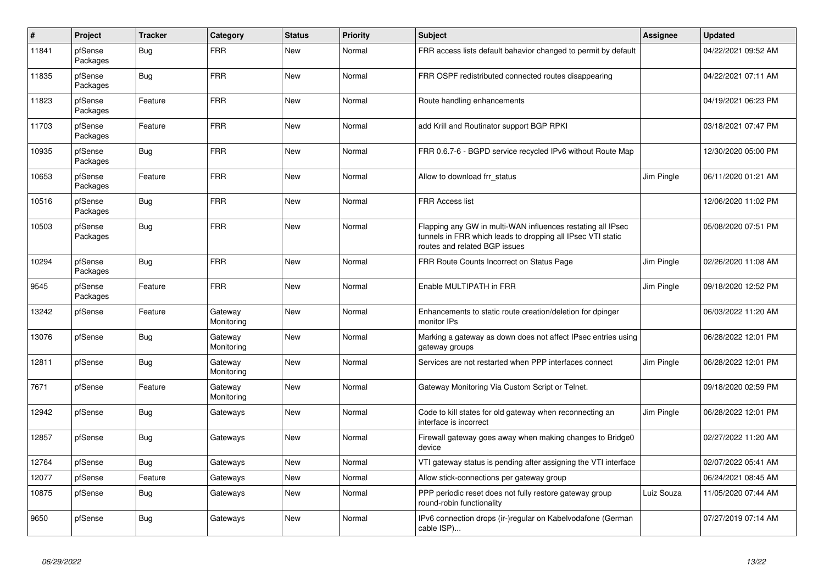| #     | Project             | <b>Tracker</b> | Category              | <b>Status</b> | <b>Priority</b> | <b>Subject</b>                                                                                                                                              | Assignee   | <b>Updated</b>      |
|-------|---------------------|----------------|-----------------------|---------------|-----------------|-------------------------------------------------------------------------------------------------------------------------------------------------------------|------------|---------------------|
| 11841 | pfSense<br>Packages | <b>Bug</b>     | <b>FRR</b>            | New           | Normal          | FRR access lists default bahavior changed to permit by default                                                                                              |            | 04/22/2021 09:52 AM |
| 11835 | pfSense<br>Packages | Bug            | <b>FRR</b>            | New           | Normal          | FRR OSPF redistributed connected routes disappearing                                                                                                        |            | 04/22/2021 07:11 AM |
| 11823 | pfSense<br>Packages | Feature        | <b>FRR</b>            | <b>New</b>    | Normal          | Route handling enhancements                                                                                                                                 |            | 04/19/2021 06:23 PM |
| 11703 | pfSense<br>Packages | Feature        | <b>FRR</b>            | <b>New</b>    | Normal          | add Krill and Routinator support BGP RPKI                                                                                                                   |            | 03/18/2021 07:47 PM |
| 10935 | pfSense<br>Packages | <b>Bug</b>     | <b>FRR</b>            | New           | Normal          | FRR 0.6.7-6 - BGPD service recycled IPv6 without Route Map                                                                                                  |            | 12/30/2020 05:00 PM |
| 10653 | pfSense<br>Packages | Feature        | <b>FRR</b>            | New           | Normal          | Allow to download frr status                                                                                                                                | Jim Pingle | 06/11/2020 01:21 AM |
| 10516 | pfSense<br>Packages | Bug            | <b>FRR</b>            | New           | Normal          | FRR Access list                                                                                                                                             |            | 12/06/2020 11:02 PM |
| 10503 | pfSense<br>Packages | <b>Bug</b>     | <b>FRR</b>            | <b>New</b>    | Normal          | Flapping any GW in multi-WAN influences restating all IPsec<br>tunnels in FRR which leads to dropping all IPsec VTI static<br>routes and related BGP issues |            | 05/08/2020 07:51 PM |
| 10294 | pfSense<br>Packages | <b>Bug</b>     | <b>FRR</b>            | New           | Normal          | FRR Route Counts Incorrect on Status Page                                                                                                                   | Jim Pingle | 02/26/2020 11:08 AM |
| 9545  | pfSense<br>Packages | Feature        | <b>FRR</b>            | New           | Normal          | Enable MULTIPATH in FRR                                                                                                                                     | Jim Pingle | 09/18/2020 12:52 PM |
| 13242 | pfSense             | Feature        | Gateway<br>Monitoring | <b>New</b>    | Normal          | Enhancements to static route creation/deletion for dpinger<br>monitor IPs                                                                                   |            | 06/03/2022 11:20 AM |
| 13076 | pfSense             | <b>Bug</b>     | Gateway<br>Monitoring | <b>New</b>    | Normal          | Marking a gateway as down does not affect IPsec entries using<br>gateway groups                                                                             |            | 06/28/2022 12:01 PM |
| 12811 | pfSense             | <b>Bug</b>     | Gateway<br>Monitoring | New           | Normal          | Services are not restarted when PPP interfaces connect                                                                                                      | Jim Pingle | 06/28/2022 12:01 PM |
| 7671  | pfSense             | Feature        | Gateway<br>Monitoring | <b>New</b>    | Normal          | Gateway Monitoring Via Custom Script or Telnet.                                                                                                             |            | 09/18/2020 02:59 PM |
| 12942 | pfSense             | <b>Bug</b>     | Gateways              | New           | Normal          | Code to kill states for old gateway when reconnecting an<br>interface is incorrect                                                                          | Jim Pingle | 06/28/2022 12:01 PM |
| 12857 | pfSense             | <b>Bug</b>     | Gateways              | New           | Normal          | Firewall gateway goes away when making changes to Bridge0<br>device                                                                                         |            | 02/27/2022 11:20 AM |
| 12764 | pfSense             | Bug            | Gateways              | <b>New</b>    | Normal          | VTI gateway status is pending after assigning the VTI interface                                                                                             |            | 02/07/2022 05:41 AM |
| 12077 | pfSense             | Feature        | Gateways              | New           | Normal          | Allow stick-connections per gateway group                                                                                                                   |            | 06/24/2021 08:45 AM |
| 10875 | pfSense             | Bug            | Gateways              | New           | Normal          | PPP periodic reset does not fully restore gateway group<br>round-robin functionality                                                                        | Luiz Souza | 11/05/2020 07:44 AM |
| 9650  | pfSense             | <b>Bug</b>     | Gateways              | <b>New</b>    | Normal          | IPv6 connection drops (ir-)regular on Kabelvodafone (German<br>cable ISP)                                                                                   |            | 07/27/2019 07:14 AM |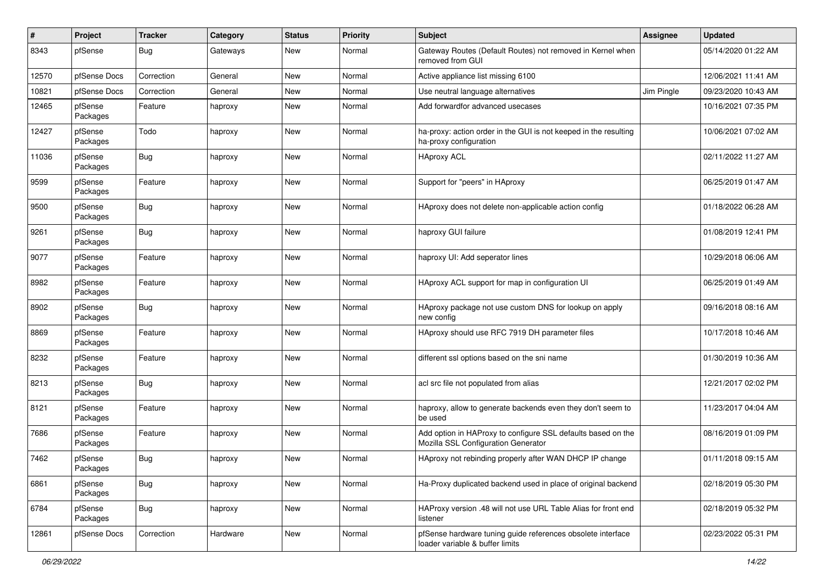| $\#$  | Project             | <b>Tracker</b> | Category | <b>Status</b> | <b>Priority</b> | <b>Subject</b>                                                                                      | Assignee   | <b>Updated</b>      |
|-------|---------------------|----------------|----------|---------------|-----------------|-----------------------------------------------------------------------------------------------------|------------|---------------------|
| 8343  | pfSense             | <b>Bug</b>     | Gateways | New           | Normal          | Gateway Routes (Default Routes) not removed in Kernel when<br>removed from GUI                      |            | 05/14/2020 01:22 AM |
| 12570 | pfSense Docs        | Correction     | General  | New           | Normal          | Active appliance list missing 6100                                                                  |            | 12/06/2021 11:41 AM |
| 10821 | pfSense Docs        | Correction     | General  | New           | Normal          | Use neutral language alternatives                                                                   | Jim Pingle | 09/23/2020 10:43 AM |
| 12465 | pfSense<br>Packages | Feature        | haproxy  | New           | Normal          | Add forwardfor advanced usecases                                                                    |            | 10/16/2021 07:35 PM |
| 12427 | pfSense<br>Packages | Todo           | haproxy  | New           | Normal          | ha-proxy: action order in the GUI is not keeped in the resulting<br>ha-proxy configuration          |            | 10/06/2021 07:02 AM |
| 11036 | pfSense<br>Packages | Bug            | haproxy  | New           | Normal          | <b>HAproxy ACL</b>                                                                                  |            | 02/11/2022 11:27 AM |
| 9599  | pfSense<br>Packages | Feature        | haproxy  | New           | Normal          | Support for "peers" in HAproxy                                                                      |            | 06/25/2019 01:47 AM |
| 9500  | pfSense<br>Packages | Bug            | haproxy  | New           | Normal          | HAproxy does not delete non-applicable action config                                                |            | 01/18/2022 06:28 AM |
| 9261  | pfSense<br>Packages | Bug            | haproxy  | New           | Normal          | haproxy GUI failure                                                                                 |            | 01/08/2019 12:41 PM |
| 9077  | pfSense<br>Packages | Feature        | haproxy  | <b>New</b>    | Normal          | haproxy UI: Add seperator lines                                                                     |            | 10/29/2018 06:06 AM |
| 8982  | pfSense<br>Packages | Feature        | haproxy  | <b>New</b>    | Normal          | HAproxy ACL support for map in configuration UI                                                     |            | 06/25/2019 01:49 AM |
| 8902  | pfSense<br>Packages | <b>Bug</b>     | haproxy  | New           | Normal          | HAproxy package not use custom DNS for lookup on apply<br>new config                                |            | 09/16/2018 08:16 AM |
| 8869  | pfSense<br>Packages | Feature        | haproxy  | New           | Normal          | HAproxy should use RFC 7919 DH parameter files                                                      |            | 10/17/2018 10:46 AM |
| 8232  | pfSense<br>Packages | Feature        | haproxy  | New           | Normal          | different ssl options based on the sni name                                                         |            | 01/30/2019 10:36 AM |
| 8213  | pfSense<br>Packages | Bug            | haproxy  | New           | Normal          | acl src file not populated from alias                                                               |            | 12/21/2017 02:02 PM |
| 8121  | pfSense<br>Packages | Feature        | haproxy  | New           | Normal          | haproxy, allow to generate backends even they don't seem to<br>be used                              |            | 11/23/2017 04:04 AM |
| 7686  | pfSense<br>Packages | Feature        | haproxy  | New           | Normal          | Add option in HAProxy to configure SSL defaults based on the<br>Mozilla SSL Configuration Generator |            | 08/16/2019 01:09 PM |
| 7462  | pfSense<br>Packages | Bug            | haproxy  | New           | Normal          | HAproxy not rebinding properly after WAN DHCP IP change                                             |            | 01/11/2018 09:15 AM |
| 6861  | pfSense<br>Packages | <b>Bug</b>     | haproxy  | New           | Normal          | Ha-Proxy duplicated backend used in place of original backend                                       |            | 02/18/2019 05:30 PM |
| 6784  | pfSense<br>Packages | <b>Bug</b>     | haproxy  | New           | Normal          | HAProxy version .48 will not use URL Table Alias for front end<br>listener                          |            | 02/18/2019 05:32 PM |
| 12861 | pfSense Docs        | Correction     | Hardware | New           | Normal          | pfSense hardware tuning guide references obsolete interface<br>loader variable & buffer limits      |            | 02/23/2022 05:31 PM |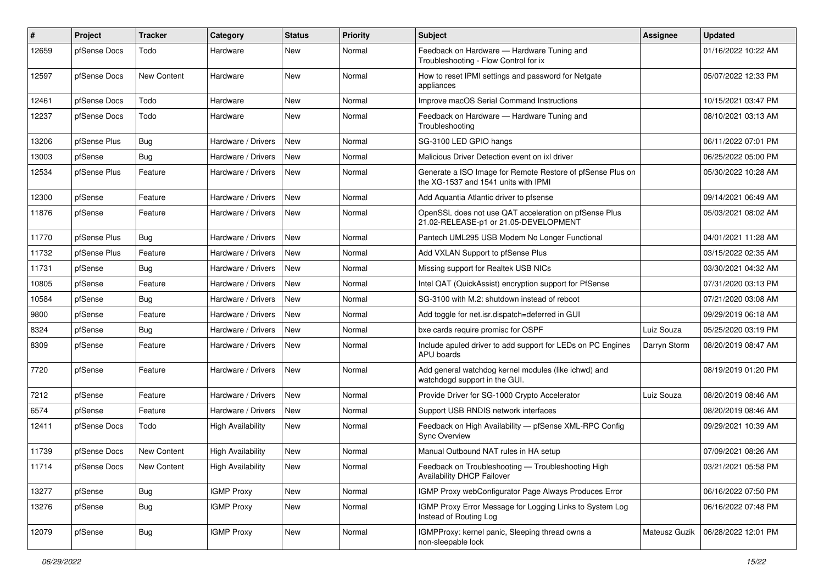| #     | Project      | <b>Tracker</b> | Category                 | <b>Status</b> | <b>Priority</b> | Subject                                                                                            | Assignee      | <b>Updated</b>      |
|-------|--------------|----------------|--------------------------|---------------|-----------------|----------------------------------------------------------------------------------------------------|---------------|---------------------|
| 12659 | pfSense Docs | Todo           | Hardware                 | <b>New</b>    | Normal          | Feedback on Hardware - Hardware Tuning and<br>Troubleshooting - Flow Control for ix                |               | 01/16/2022 10:22 AM |
| 12597 | pfSense Docs | New Content    | Hardware                 | <b>New</b>    | Normal          | How to reset IPMI settings and password for Netgate<br>appliances                                  |               | 05/07/2022 12:33 PM |
| 12461 | pfSense Docs | Todo           | Hardware                 | <b>New</b>    | Normal          | Improve macOS Serial Command Instructions                                                          |               | 10/15/2021 03:47 PM |
| 12237 | pfSense Docs | Todo           | Hardware                 | <b>New</b>    | Normal          | Feedback on Hardware - Hardware Tuning and<br>Troubleshooting                                      |               | 08/10/2021 03:13 AM |
| 13206 | pfSense Plus | Bug            | Hardware / Drivers       | <b>New</b>    | Normal          | SG-3100 LED GPIO hangs                                                                             |               | 06/11/2022 07:01 PM |
| 13003 | pfSense      | Bug            | Hardware / Drivers       | New           | Normal          | Malicious Driver Detection event on ixl driver                                                     |               | 06/25/2022 05:00 PM |
| 12534 | pfSense Plus | Feature        | Hardware / Drivers       | <b>New</b>    | Normal          | Generate a ISO Image for Remote Restore of pfSense Plus on<br>the XG-1537 and 1541 units with IPMI |               | 05/30/2022 10:28 AM |
| 12300 | pfSense      | Feature        | Hardware / Drivers       | <b>New</b>    | Normal          | Add Aquantia Atlantic driver to pfsense                                                            |               | 09/14/2021 06:49 AM |
| 11876 | pfSense      | Feature        | Hardware / Drivers       | New           | Normal          | OpenSSL does not use QAT acceleration on pfSense Plus<br>21.02-RELEASE-p1 or 21.05-DEVELOPMENT     |               | 05/03/2021 08:02 AM |
| 11770 | pfSense Plus | <b>Bug</b>     | Hardware / Drivers       | New           | Normal          | Pantech UML295 USB Modem No Longer Functional                                                      |               | 04/01/2021 11:28 AM |
| 11732 | pfSense Plus | Feature        | Hardware / Drivers       | New           | Normal          | Add VXLAN Support to pfSense Plus                                                                  |               | 03/15/2022 02:35 AM |
| 11731 | pfSense      | <b>Bug</b>     | Hardware / Drivers       | <b>New</b>    | Normal          | Missing support for Realtek USB NICs                                                               |               | 03/30/2021 04:32 AM |
| 10805 | pfSense      | Feature        | Hardware / Drivers       | <b>New</b>    | Normal          | Intel QAT (QuickAssist) encryption support for PfSense                                             |               | 07/31/2020 03:13 PM |
| 10584 | pfSense      | Bug            | Hardware / Drivers       | New           | Normal          | SG-3100 with M.2: shutdown instead of reboot                                                       |               | 07/21/2020 03:08 AM |
| 9800  | pfSense      | Feature        | Hardware / Drivers       | New           | Normal          | Add toggle for net.isr.dispatch=deferred in GUI                                                    |               | 09/29/2019 06:18 AM |
| 8324  | pfSense      | Bug            | Hardware / Drivers       | <b>New</b>    | Normal          | bxe cards require promisc for OSPF                                                                 | Luiz Souza    | 05/25/2020 03:19 PM |
| 8309  | pfSense      | Feature        | Hardware / Drivers       | New           | Normal          | Include apuled driver to add support for LEDs on PC Engines<br>APU boards                          | Darryn Storm  | 08/20/2019 08:47 AM |
| 7720  | pfSense      | Feature        | Hardware / Drivers       | <b>New</b>    | Normal          | Add general watchdog kernel modules (like ichwd) and<br>watchdogd support in the GUI.              |               | 08/19/2019 01:20 PM |
| 7212  | pfSense      | Feature        | Hardware / Drivers       | <b>New</b>    | Normal          | Provide Driver for SG-1000 Crypto Accelerator                                                      | Luiz Souza    | 08/20/2019 08:46 AM |
| 6574  | pfSense      | Feature        | Hardware / Drivers       | New           | Normal          | Support USB RNDIS network interfaces                                                               |               | 08/20/2019 08:46 AM |
| 12411 | pfSense Docs | Todo           | <b>High Availability</b> | New           | Normal          | Feedback on High Availability - pfSense XML-RPC Config<br><b>Sync Overview</b>                     |               | 09/29/2021 10:39 AM |
| 11739 | pfSense Docs | New Content    | <b>High Availability</b> | <b>New</b>    | Normal          | Manual Outbound NAT rules in HA setup                                                              |               | 07/09/2021 08:26 AM |
| 11714 | pfSense Docs | New Content    | <b>High Availability</b> | New           | Normal          | Feedback on Troubleshooting - Troubleshooting High<br><b>Availability DHCP Failover</b>            |               | 03/21/2021 05:58 PM |
| 13277 | pfSense      | Bug            | <b>IGMP Proxy</b>        | New           | Normal          | IGMP Proxy webConfigurator Page Always Produces Error                                              |               | 06/16/2022 07:50 PM |
| 13276 | pfSense      | <b>Bug</b>     | <b>IGMP Proxy</b>        | New           | Normal          | IGMP Proxy Error Message for Logging Links to System Log<br>Instead of Routing Log                 |               | 06/16/2022 07:48 PM |
| 12079 | pfSense      | <b>Bug</b>     | <b>IGMP Proxy</b>        | New           | Normal          | IGMPProxy: kernel panic, Sleeping thread owns a<br>non-sleepable lock                              | Mateusz Guzik | 06/28/2022 12:01 PM |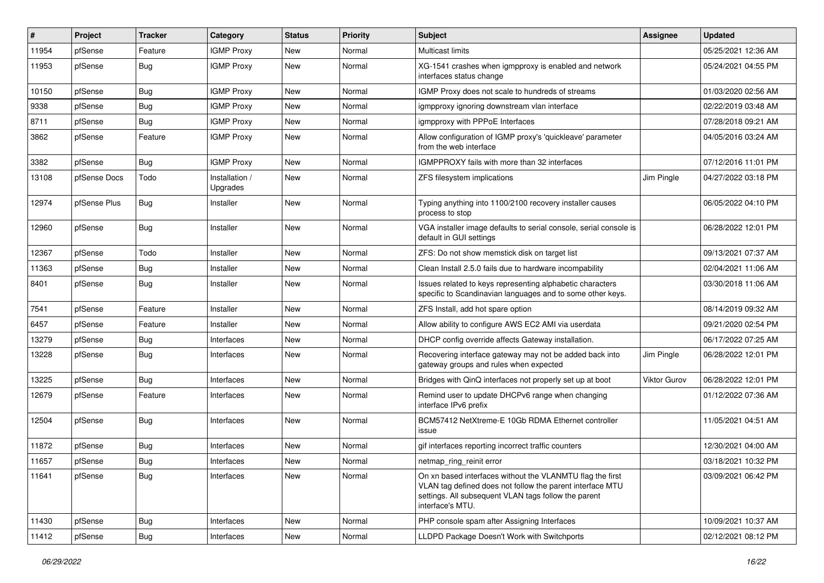| $\#$  | Project      | <b>Tracker</b> | Category                   | <b>Status</b> | <b>Priority</b> | Subject                                                                                                                                                                                            | <b>Assignee</b> | <b>Updated</b>      |
|-------|--------------|----------------|----------------------------|---------------|-----------------|----------------------------------------------------------------------------------------------------------------------------------------------------------------------------------------------------|-----------------|---------------------|
| 11954 | pfSense      | Feature        | <b>IGMP Proxy</b>          | New           | Normal          | <b>Multicast limits</b>                                                                                                                                                                            |                 | 05/25/2021 12:36 AM |
| 11953 | pfSense      | <b>Bug</b>     | <b>IGMP Proxy</b>          | New           | Normal          | XG-1541 crashes when igmpproxy is enabled and network<br>interfaces status change                                                                                                                  |                 | 05/24/2021 04:55 PM |
| 10150 | pfSense      | <b>Bug</b>     | <b>IGMP Proxy</b>          | New           | Normal          | IGMP Proxy does not scale to hundreds of streams                                                                                                                                                   |                 | 01/03/2020 02:56 AM |
| 9338  | pfSense      | Bug            | <b>IGMP Proxy</b>          | New           | Normal          | igmpproxy ignoring downstream vlan interface                                                                                                                                                       |                 | 02/22/2019 03:48 AM |
| 8711  | pfSense      | Bug            | <b>IGMP Proxy</b>          | <b>New</b>    | Normal          | igmpproxy with PPPoE Interfaces                                                                                                                                                                    |                 | 07/28/2018 09:21 AM |
| 3862  | pfSense      | Feature        | <b>IGMP Proxy</b>          | New           | Normal          | Allow configuration of IGMP proxy's 'quickleave' parameter<br>from the web interface                                                                                                               |                 | 04/05/2016 03:24 AM |
| 3382  | pfSense      | Bug            | <b>IGMP Proxy</b>          | New           | Normal          | IGMPPROXY fails with more than 32 interfaces                                                                                                                                                       |                 | 07/12/2016 11:01 PM |
| 13108 | pfSense Docs | Todo           | Installation /<br>Upgrades | <b>New</b>    | Normal          | ZFS filesystem implications                                                                                                                                                                        | Jim Pingle      | 04/27/2022 03:18 PM |
| 12974 | pfSense Plus | Bug            | Installer                  | New           | Normal          | Typing anything into 1100/2100 recovery installer causes<br>process to stop                                                                                                                        |                 | 06/05/2022 04:10 PM |
| 12960 | pfSense      | Bug            | Installer                  | New           | Normal          | VGA installer image defaults to serial console, serial console is<br>default in GUI settings                                                                                                       |                 | 06/28/2022 12:01 PM |
| 12367 | pfSense      | Todo           | Installer                  | <b>New</b>    | Normal          | ZFS: Do not show memstick disk on target list                                                                                                                                                      |                 | 09/13/2021 07:37 AM |
| 11363 | pfSense      | Bug            | Installer                  | New           | Normal          | Clean Install 2.5.0 fails due to hardware incompability                                                                                                                                            |                 | 02/04/2021 11:06 AM |
| 8401  | pfSense      | Bug            | Installer                  | New           | Normal          | Issues related to keys representing alphabetic characters<br>specific to Scandinavian languages and to some other keys.                                                                            |                 | 03/30/2018 11:06 AM |
| 7541  | pfSense      | Feature        | Installer                  | New           | Normal          | ZFS Install, add hot spare option                                                                                                                                                                  |                 | 08/14/2019 09:32 AM |
| 6457  | pfSense      | Feature        | Installer                  | New           | Normal          | Allow ability to configure AWS EC2 AMI via userdata                                                                                                                                                |                 | 09/21/2020 02:54 PM |
| 13279 | pfSense      | Bug            | Interfaces                 | New           | Normal          | DHCP config override affects Gateway installation.                                                                                                                                                 |                 | 06/17/2022 07:25 AM |
| 13228 | pfSense      | Bug            | Interfaces                 | New           | Normal          | Recovering interface gateway may not be added back into<br>gateway groups and rules when expected                                                                                                  | Jim Pingle      | 06/28/2022 12:01 PM |
| 13225 | pfSense      | Bug            | Interfaces                 | New           | Normal          | Bridges with QinQ interfaces not properly set up at boot                                                                                                                                           | Viktor Gurov    | 06/28/2022 12:01 PM |
| 12679 | pfSense      | Feature        | Interfaces                 | New           | Normal          | Remind user to update DHCPv6 range when changing<br>interface IPv6 prefix                                                                                                                          |                 | 01/12/2022 07:36 AM |
| 12504 | pfSense      | Bug            | Interfaces                 | <b>New</b>    | Normal          | BCM57412 NetXtreme-E 10Gb RDMA Ethernet controller<br>issue                                                                                                                                        |                 | 11/05/2021 04:51 AM |
| 11872 | pfSense      | <b>Bug</b>     | Interfaces                 | New           | Normal          | gif interfaces reporting incorrect traffic counters                                                                                                                                                |                 | 12/30/2021 04:00 AM |
| 11657 | pfSense      | <b>Bug</b>     | Interfaces                 | New           | Normal          | netmap_ring_reinit error                                                                                                                                                                           |                 | 03/18/2021 10:32 PM |
| 11641 | pfSense      | Bug            | Interfaces                 | New           | Normal          | On xn based interfaces without the VLANMTU flag the first<br>VLAN tag defined does not follow the parent interface MTU<br>settings. All subsequent VLAN tags follow the parent<br>interface's MTU. |                 | 03/09/2021 06:42 PM |
| 11430 | pfSense      | Bug            | Interfaces                 | New           | Normal          | PHP console spam after Assigning Interfaces                                                                                                                                                        |                 | 10/09/2021 10:37 AM |
| 11412 | pfSense      | <b>Bug</b>     | Interfaces                 | New           | Normal          | LLDPD Package Doesn't Work with Switchports                                                                                                                                                        |                 | 02/12/2021 08:12 PM |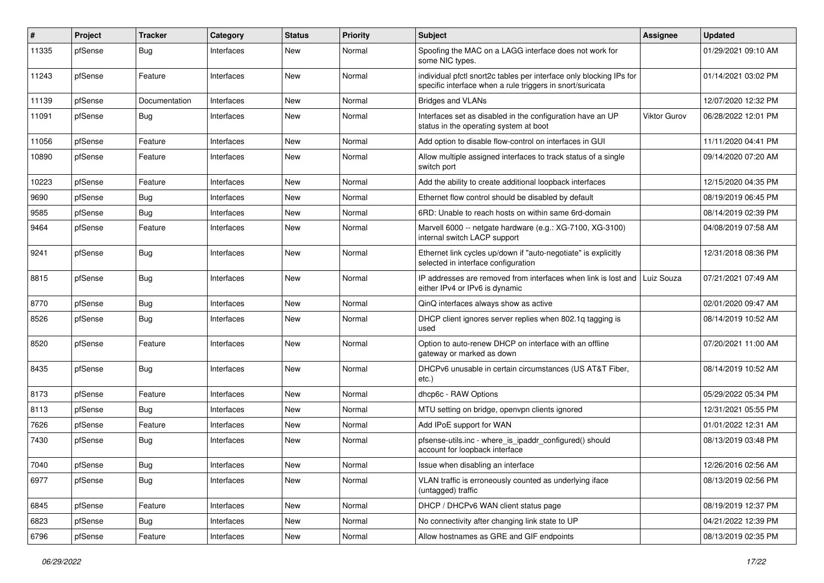| ∦     | Project | <b>Tracker</b> | Category   | <b>Status</b> | <b>Priority</b> | Subject                                                                                                                          | <b>Assignee</b>     | <b>Updated</b>      |
|-------|---------|----------------|------------|---------------|-----------------|----------------------------------------------------------------------------------------------------------------------------------|---------------------|---------------------|
| 11335 | pfSense | <b>Bug</b>     | Interfaces | New           | Normal          | Spoofing the MAC on a LAGG interface does not work for<br>some NIC types.                                                        |                     | 01/29/2021 09:10 AM |
| 11243 | pfSense | Feature        | Interfaces | New           | Normal          | individual pfctl snort2c tables per interface only blocking IPs for<br>specific interface when a rule triggers in snort/suricata |                     | 01/14/2021 03:02 PM |
| 11139 | pfSense | Documentation  | Interfaces | <b>New</b>    | Normal          | <b>Bridges and VLANs</b>                                                                                                         |                     | 12/07/2020 12:32 PM |
| 11091 | pfSense | <b>Bug</b>     | Interfaces | New           | Normal          | Interfaces set as disabled in the configuration have an UP<br>status in the operating system at boot                             | <b>Viktor Gurov</b> | 06/28/2022 12:01 PM |
| 11056 | pfSense | Feature        | Interfaces | New           | Normal          | Add option to disable flow-control on interfaces in GUI                                                                          |                     | 11/11/2020 04:41 PM |
| 10890 | pfSense | Feature        | Interfaces | <b>New</b>    | Normal          | Allow multiple assigned interfaces to track status of a single<br>switch port                                                    |                     | 09/14/2020 07:20 AM |
| 10223 | pfSense | Feature        | Interfaces | New           | Normal          | Add the ability to create additional loopback interfaces                                                                         |                     | 12/15/2020 04:35 PM |
| 9690  | pfSense | Bug            | Interfaces | New           | Normal          | Ethernet flow control should be disabled by default                                                                              |                     | 08/19/2019 06:45 PM |
| 9585  | pfSense | Bug            | Interfaces | <b>New</b>    | Normal          | 6RD: Unable to reach hosts on within same 6rd-domain                                                                             |                     | 08/14/2019 02:39 PM |
| 9464  | pfSense | Feature        | Interfaces | New           | Normal          | Marvell 6000 -- netgate hardware (e.g.: XG-7100, XG-3100)<br>internal switch LACP support                                        |                     | 04/08/2019 07:58 AM |
| 9241  | pfSense | Bug            | Interfaces | New           | Normal          | Ethernet link cycles up/down if "auto-negotiate" is explicitly<br>selected in interface configuration                            |                     | 12/31/2018 08:36 PM |
| 8815  | pfSense | <b>Bug</b>     | Interfaces | <b>New</b>    | Normal          | IP addresses are removed from interfaces when link is lost and<br>either IPv4 or IPv6 is dynamic                                 | Luiz Souza          | 07/21/2021 07:49 AM |
| 8770  | pfSense | <b>Bug</b>     | Interfaces | New           | Normal          | QinQ interfaces always show as active                                                                                            |                     | 02/01/2020 09:47 AM |
| 8526  | pfSense | <b>Bug</b>     | Interfaces | New           | Normal          | DHCP client ignores server replies when 802.1q tagging is<br>used                                                                |                     | 08/14/2019 10:52 AM |
| 8520  | pfSense | Feature        | Interfaces | New           | Normal          | Option to auto-renew DHCP on interface with an offline<br>gateway or marked as down                                              |                     | 07/20/2021 11:00 AM |
| 8435  | pfSense | Bug            | Interfaces | <b>New</b>    | Normal          | DHCPv6 unusable in certain circumstances (US AT&T Fiber,<br>etc.)                                                                |                     | 08/14/2019 10:52 AM |
| 8173  | pfSense | Feature        | Interfaces | <b>New</b>    | Normal          | dhcp6c - RAW Options                                                                                                             |                     | 05/29/2022 05:34 PM |
| 8113  | pfSense | <b>Bug</b>     | Interfaces | New           | Normal          | MTU setting on bridge, openvpn clients ignored                                                                                   |                     | 12/31/2021 05:55 PM |
| 7626  | pfSense | Feature        | Interfaces | New           | Normal          | Add IPoE support for WAN                                                                                                         |                     | 01/01/2022 12:31 AM |
| 7430  | pfSense | <b>Bug</b>     | Interfaces | New           | Normal          | pfsense-utils.inc - where_is_ipaddr_configured() should<br>account for loopback interface                                        |                     | 08/13/2019 03:48 PM |
| 7040  | pfSense | i Bug          | Interfaces | New           | Normal          | Issue when disabling an interface                                                                                                |                     | 12/26/2016 02:56 AM |
| 6977  | pfSense | <b>Bug</b>     | Interfaces | New           | Normal          | VLAN traffic is erroneously counted as underlying iface<br>(untagged) traffic                                                    |                     | 08/13/2019 02:56 PM |
| 6845  | pfSense | Feature        | Interfaces | New           | Normal          | DHCP / DHCPv6 WAN client status page                                                                                             |                     | 08/19/2019 12:37 PM |
| 6823  | pfSense | <b>Bug</b>     | Interfaces | New           | Normal          | No connectivity after changing link state to UP                                                                                  |                     | 04/21/2022 12:39 PM |
| 6796  | pfSense | Feature        | Interfaces | New           | Normal          | Allow hostnames as GRE and GIF endpoints                                                                                         |                     | 08/13/2019 02:35 PM |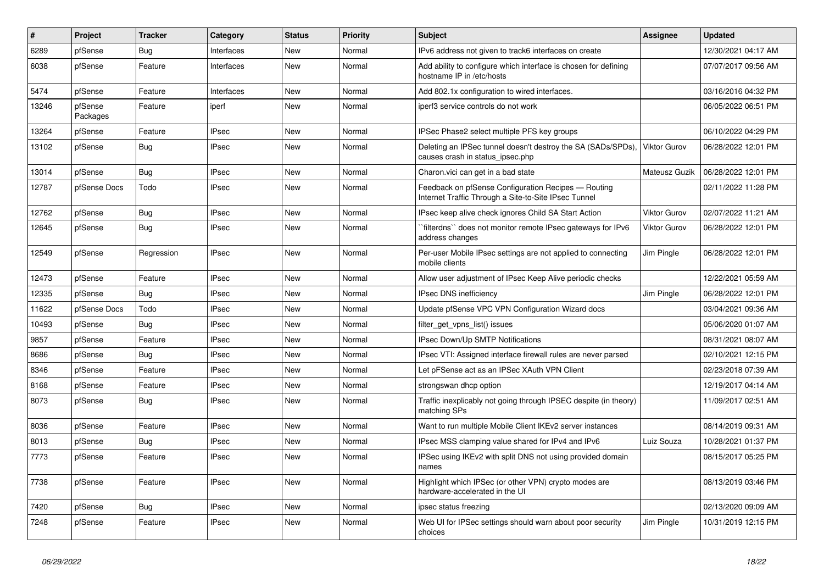| ∥#    | Project             | <b>Tracker</b> | Category     | <b>Status</b> | <b>Priority</b> | <b>Subject</b>                                                                                              | <b>Assignee</b>     | <b>Updated</b>      |
|-------|---------------------|----------------|--------------|---------------|-----------------|-------------------------------------------------------------------------------------------------------------|---------------------|---------------------|
| 6289  | pfSense             | Bug            | Interfaces   | <b>New</b>    | Normal          | IPv6 address not given to track6 interfaces on create                                                       |                     | 12/30/2021 04:17 AM |
| 6038  | pfSense             | Feature        | Interfaces   | <b>New</b>    | Normal          | Add ability to configure which interface is chosen for defining<br>hostname IP in /etc/hosts                |                     | 07/07/2017 09:56 AM |
| 5474  | pfSense             | Feature        | Interfaces   | <b>New</b>    | Normal          | Add 802.1x configuration to wired interfaces.                                                               |                     | 03/16/2016 04:32 PM |
| 13246 | pfSense<br>Packages | Feature        | iperf        | <b>New</b>    | Normal          | iperf3 service controls do not work                                                                         |                     | 06/05/2022 06:51 PM |
| 13264 | pfSense             | Feature        | <b>IPsec</b> | <b>New</b>    | Normal          | IPSec Phase2 select multiple PFS key groups                                                                 |                     | 06/10/2022 04:29 PM |
| 13102 | pfSense             | <b>Bug</b>     | <b>IPsec</b> | <b>New</b>    | Normal          | Deleting an IPSec tunnel doesn't destroy the SA (SADs/SPDs)<br>causes crash in status ipsec.php             | <b>Viktor Gurov</b> | 06/28/2022 12:01 PM |
| 13014 | pfSense             | Bug            | <b>IPsec</b> | New           | Normal          | Charon.vici can get in a bad state                                                                          | Mateusz Guzik       | 06/28/2022 12:01 PM |
| 12787 | pfSense Docs        | Todo           | <b>IPsec</b> | New           | Normal          | Feedback on pfSense Configuration Recipes - Routing<br>Internet Traffic Through a Site-to-Site IPsec Tunnel |                     | 02/11/2022 11:28 PM |
| 12762 | pfSense             | Bug            | <b>IPsec</b> | <b>New</b>    | Normal          | IPsec keep alive check ignores Child SA Start Action                                                        | Viktor Gurov        | 02/07/2022 11:21 AM |
| 12645 | pfSense             | Bug            | <b>IPsec</b> | <b>New</b>    | Normal          | `filterdns`` does not monitor remote IPsec gateways for IPv6<br>address changes                             | Viktor Gurov        | 06/28/2022 12:01 PM |
| 12549 | pfSense             | Regression     | <b>IPsec</b> | <b>New</b>    | Normal          | Per-user Mobile IPsec settings are not applied to connecting<br>mobile clients                              | Jim Pingle          | 06/28/2022 12:01 PM |
| 12473 | pfSense             | Feature        | <b>IPsec</b> | <b>New</b>    | Normal          | Allow user adjustment of IPsec Keep Alive periodic checks                                                   |                     | 12/22/2021 05:59 AM |
| 12335 | pfSense             | <b>Bug</b>     | <b>IPsec</b> | <b>New</b>    | Normal          | IPsec DNS inefficiency                                                                                      | Jim Pingle          | 06/28/2022 12:01 PM |
| 11622 | pfSense Docs        | Todo           | <b>IPsec</b> | New           | Normal          | Update pfSense VPC VPN Configuration Wizard docs                                                            |                     | 03/04/2021 09:36 AM |
| 10493 | pfSense             | <b>Bug</b>     | <b>IPsec</b> | New           | Normal          | filter get vpns list() issues                                                                               |                     | 05/06/2020 01:07 AM |
| 9857  | pfSense             | Feature        | <b>IPsec</b> | New           | Normal          | IPsec Down/Up SMTP Notifications                                                                            |                     | 08/31/2021 08:07 AM |
| 8686  | pfSense             | <b>Bug</b>     | <b>IPsec</b> | <b>New</b>    | Normal          | IPsec VTI: Assigned interface firewall rules are never parsed                                               |                     | 02/10/2021 12:15 PM |
| 8346  | pfSense             | Feature        | <b>IPsec</b> | <b>New</b>    | Normal          | Let pFSense act as an IPSec XAuth VPN Client                                                                |                     | 02/23/2018 07:39 AM |
| 8168  | pfSense             | Feature        | <b>IPsec</b> | <b>New</b>    | Normal          | strongswan dhcp option                                                                                      |                     | 12/19/2017 04:14 AM |
| 8073  | pfSense             | Bug            | IPsec        | <b>New</b>    | Normal          | Traffic inexplicably not going through IPSEC despite (in theory)<br>matching SPs                            |                     | 11/09/2017 02:51 AM |
| 8036  | pfSense             | Feature        | <b>IPsec</b> | <b>New</b>    | Normal          | Want to run multiple Mobile Client IKEv2 server instances                                                   |                     | 08/14/2019 09:31 AM |
| 8013  | pfSense             | <b>Bug</b>     | <b>IPsec</b> | <b>New</b>    | Normal          | IPsec MSS clamping value shared for IPv4 and IPv6                                                           | Luiz Souza          | 10/28/2021 01:37 PM |
| 7773  | pfSense             | Feature        | <b>IPsec</b> | <b>New</b>    | Normal          | IPSec using IKEv2 with split DNS not using provided domain<br>names                                         |                     | 08/15/2017 05:25 PM |
| 7738  | pfSense             | Feature        | <b>IPsec</b> | New           | Normal          | Highlight which IPSec (or other VPN) crypto modes are<br>hardware-accelerated in the UI                     |                     | 08/13/2019 03:46 PM |
| 7420  | pfSense             | Bug            | <b>IPsec</b> | <b>New</b>    | Normal          | ipsec status freezing                                                                                       |                     | 02/13/2020 09:09 AM |
| 7248  | pfSense             | Feature        | <b>IPsec</b> | <b>New</b>    | Normal          | Web UI for IPSec settings should warn about poor security<br>choices                                        | Jim Pingle          | 10/31/2019 12:15 PM |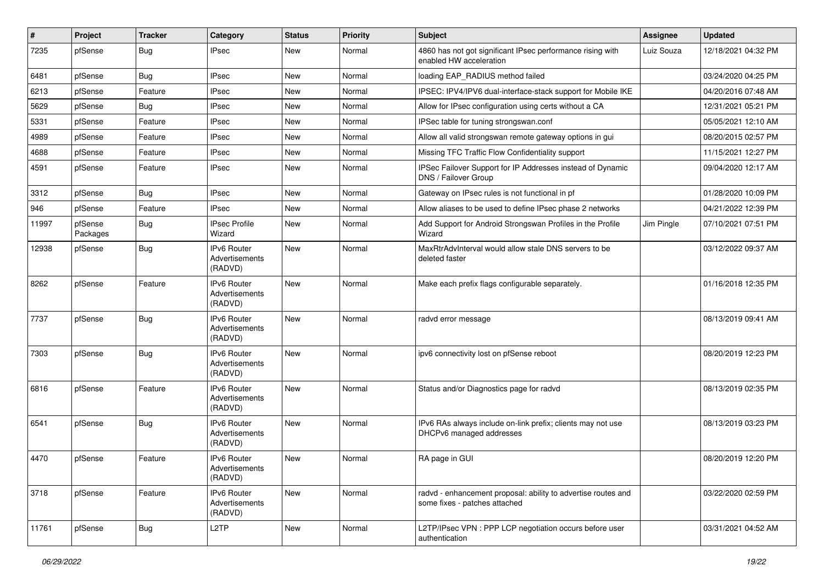| $\vert$ # | Project             | <b>Tracker</b> | Category                                        | <b>Status</b> | <b>Priority</b> | <b>Subject</b>                                                                                 | <b>Assignee</b> | <b>Updated</b>      |
|-----------|---------------------|----------------|-------------------------------------------------|---------------|-----------------|------------------------------------------------------------------------------------------------|-----------------|---------------------|
| 7235      | pfSense             | <b>Bug</b>     | <b>IPsec</b>                                    | New           | Normal          | 4860 has not got significant IPsec performance rising with<br>enabled HW acceleration          | Luiz Souza      | 12/18/2021 04:32 PM |
| 6481      | pfSense             | Bug            | <b>IPsec</b>                                    | New           | Normal          | loading EAP_RADIUS method failed                                                               |                 | 03/24/2020 04:25 PM |
| 6213      | pfSense             | Feature        | <b>IPsec</b>                                    | <b>New</b>    | Normal          | IPSEC: IPV4/IPV6 dual-interface-stack support for Mobile IKE                                   |                 | 04/20/2016 07:48 AM |
| 5629      | pfSense             | Bug            | <b>IPsec</b>                                    | <b>New</b>    | Normal          | Allow for IPsec configuration using certs without a CA                                         |                 | 12/31/2021 05:21 PM |
| 5331      | pfSense             | Feature        | <b>IPsec</b>                                    | <b>New</b>    | Normal          | IPSec table for tuning strongswan.conf                                                         |                 | 05/05/2021 12:10 AM |
| 4989      | pfSense             | Feature        | <b>IPsec</b>                                    | New           | Normal          | Allow all valid strongswan remote gateway options in gui                                       |                 | 08/20/2015 02:57 PM |
| 4688      | pfSense             | Feature        | <b>IPsec</b>                                    | <b>New</b>    | Normal          | Missing TFC Traffic Flow Confidentiality support                                               |                 | 11/15/2021 12:27 PM |
| 4591      | pfSense             | Feature        | <b>IPsec</b>                                    | <b>New</b>    | Normal          | IPSec Failover Support for IP Addresses instead of Dynamic<br>DNS / Failover Group             |                 | 09/04/2020 12:17 AM |
| 3312      | pfSense             | <b>Bug</b>     | <b>IPsec</b>                                    | New           | Normal          | Gateway on IPsec rules is not functional in pf                                                 |                 | 01/28/2020 10:09 PM |
| 946       | pfSense             | Feature        | <b>IPsec</b>                                    | <b>New</b>    | Normal          | Allow aliases to be used to define IPsec phase 2 networks                                      |                 | 04/21/2022 12:39 PM |
| 11997     | pfSense<br>Packages | <b>Bug</b>     | <b>IPsec Profile</b><br>Wizard                  | <b>New</b>    | Normal          | Add Support for Android Strongswan Profiles in the Profile<br>Wizard                           | Jim Pingle      | 07/10/2021 07:51 PM |
| 12938     | pfSense             | <b>Bug</b>     | IPv6 Router<br>Advertisements<br>(RADVD)        | New           | Normal          | MaxRtrAdvInterval would allow stale DNS servers to be<br>deleted faster                        |                 | 03/12/2022 09:37 AM |
| 8262      | pfSense             | Feature        | IPv6 Router<br>Advertisements<br>(RADVD)        | <b>New</b>    | Normal          | Make each prefix flags configurable separately.                                                |                 | 01/16/2018 12:35 PM |
| 7737      | pfSense             | <b>Bug</b>     | <b>IPv6 Router</b><br>Advertisements<br>(RADVD) | <b>New</b>    | Normal          | radvd error message                                                                            |                 | 08/13/2019 09:41 AM |
| 7303      | pfSense             | <b>Bug</b>     | <b>IPv6 Router</b><br>Advertisements<br>(RADVD) | <b>New</b>    | Normal          | ipv6 connectivity lost on pfSense reboot                                                       |                 | 08/20/2019 12:23 PM |
| 6816      | pfSense             | Feature        | <b>IPv6 Router</b><br>Advertisements<br>(RADVD) | New           | Normal          | Status and/or Diagnostics page for radvd                                                       |                 | 08/13/2019 02:35 PM |
| 6541      | pfSense             | <b>Bug</b>     | <b>IPv6 Router</b><br>Advertisements<br>(RADVD) | New           | Normal          | IPv6 RAs always include on-link prefix; clients may not use<br>DHCPv6 managed addresses        |                 | 08/13/2019 03:23 PM |
| 4470      | pfSense             | Feature        | IPv6 Router<br>Advertisements<br>(RADVD)        | New           | Normal          | RA page in GUI                                                                                 |                 | 08/20/2019 12:20 PM |
| 3718      | pfSense             | Feature        | IPv6 Router<br>Advertisements<br>(RADVD)        | New           | Normal          | radvd - enhancement proposal: ability to advertise routes and<br>some fixes - patches attached |                 | 03/22/2020 02:59 PM |
| 11761     | pfSense             | Bug            | L <sub>2</sub> TP                               | New           | Normal          | L2TP/IPsec VPN : PPP LCP negotiation occurs before user<br>authentication                      |                 | 03/31/2021 04:52 AM |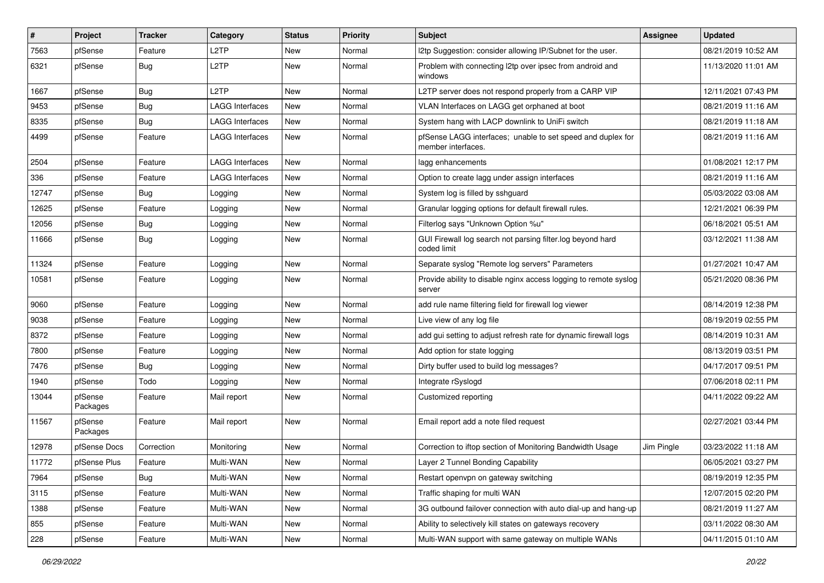| #     | Project             | <b>Tracker</b> | Category               | <b>Status</b> | <b>Priority</b> | Subject                                                                           | Assignee   | <b>Updated</b>      |
|-------|---------------------|----------------|------------------------|---------------|-----------------|-----------------------------------------------------------------------------------|------------|---------------------|
| 7563  | pfSense             | Feature        | L2TP                   | New           | Normal          | 12tp Suggestion: consider allowing IP/Subnet for the user.                        |            | 08/21/2019 10:52 AM |
| 6321  | pfSense             | <b>Bug</b>     | L <sub>2</sub> TP      | New           | Normal          | Problem with connecting l2tp over ipsec from android and<br>windows               |            | 11/13/2020 11:01 AM |
| 1667  | pfSense             | <b>Bug</b>     | L <sub>2</sub> TP      | New           | Normal          | L2TP server does not respond properly from a CARP VIP                             |            | 12/11/2021 07:43 PM |
| 9453  | pfSense             | <b>Bug</b>     | <b>LAGG Interfaces</b> | <b>New</b>    | Normal          | VLAN Interfaces on LAGG get orphaned at boot                                      |            | 08/21/2019 11:16 AM |
| 8335  | pfSense             | <b>Bug</b>     | LAGG Interfaces        | New           | Normal          | System hang with LACP downlink to UniFi switch                                    |            | 08/21/2019 11:18 AM |
| 4499  | pfSense             | Feature        | LAGG Interfaces        | New           | Normal          | pfSense LAGG interfaces; unable to set speed and duplex for<br>member interfaces. |            | 08/21/2019 11:16 AM |
| 2504  | pfSense             | Feature        | <b>LAGG Interfaces</b> | <b>New</b>    | Normal          | lagg enhancements                                                                 |            | 01/08/2021 12:17 PM |
| 336   | pfSense             | Feature        | <b>LAGG Interfaces</b> | New           | Normal          | Option to create lagg under assign interfaces                                     |            | 08/21/2019 11:16 AM |
| 12747 | pfSense             | Bug            | Logging                | New           | Normal          | System log is filled by sshguard                                                  |            | 05/03/2022 03:08 AM |
| 12625 | pfSense             | Feature        | Logging                | New           | Normal          | Granular logging options for default firewall rules.                              |            | 12/21/2021 06:39 PM |
| 12056 | pfSense             | Bug            | Logging                | New           | Normal          | Filterlog says "Unknown Option %u"                                                |            | 06/18/2021 05:51 AM |
| 11666 | pfSense             | <b>Bug</b>     | Logging                | New           | Normal          | GUI Firewall log search not parsing filter.log beyond hard<br>coded limit         |            | 03/12/2021 11:38 AM |
| 11324 | pfSense             | Feature        | Logging                | New           | Normal          | Separate syslog "Remote log servers" Parameters                                   |            | 01/27/2021 10:47 AM |
| 10581 | pfSense             | Feature        | Logging                | New           | Normal          | Provide ability to disable nginx access logging to remote syslog<br>server        |            | 05/21/2020 08:36 PM |
| 9060  | pfSense             | Feature        | Logging                | New           | Normal          | add rule name filtering field for firewall log viewer                             |            | 08/14/2019 12:38 PM |
| 9038  | pfSense             | Feature        | Logging                | New           | Normal          | Live view of any log file                                                         |            | 08/19/2019 02:55 PM |
| 8372  | pfSense             | Feature        | Logging                | New           | Normal          | add gui setting to adjust refresh rate for dynamic firewall logs                  |            | 08/14/2019 10:31 AM |
| 7800  | pfSense             | Feature        | Logging                | New           | Normal          | Add option for state logging                                                      |            | 08/13/2019 03:51 PM |
| 7476  | pfSense             | <b>Bug</b>     | Logging                | New           | Normal          | Dirty buffer used to build log messages?                                          |            | 04/17/2017 09:51 PM |
| 1940  | pfSense             | Todo           | Logging                | New           | Normal          | Integrate rSyslogd                                                                |            | 07/06/2018 02:11 PM |
| 13044 | pfSense<br>Packages | Feature        | Mail report            | New           | Normal          | Customized reporting                                                              |            | 04/11/2022 09:22 AM |
| 11567 | pfSense<br>Packages | Feature        | Mail report            | New           | Normal          | Email report add a note filed request                                             |            | 02/27/2021 03:44 PM |
| 12978 | pfSense Docs        | Correction     | Monitoring             | New           | Normal          | Correction to iftop section of Monitoring Bandwidth Usage                         | Jim Pingle | 03/23/2022 11:18 AM |
| 11772 | pfSense Plus        | Feature        | Multi-WAN              | New           | Normal          | Layer 2 Tunnel Bonding Capability                                                 |            | 06/05/2021 03:27 PM |
| 7964  | pfSense             | Bug            | Multi-WAN              | New           | Normal          | Restart openvpn on gateway switching                                              |            | 08/19/2019 12:35 PM |
| 3115  | pfSense             | Feature        | Multi-WAN              | New           | Normal          | Traffic shaping for multi WAN                                                     |            | 12/07/2015 02:20 PM |
| 1388  | pfSense             | Feature        | Multi-WAN              | New           | Normal          | 3G outbound failover connection with auto dial-up and hang-up                     |            | 08/21/2019 11:27 AM |
| 855   | pfSense             | Feature        | Multi-WAN              | New           | Normal          | Ability to selectively kill states on gateways recovery                           |            | 03/11/2022 08:30 AM |
| 228   | pfSense             | Feature        | Multi-WAN              | New           | Normal          | Multi-WAN support with same gateway on multiple WANs                              |            | 04/11/2015 01:10 AM |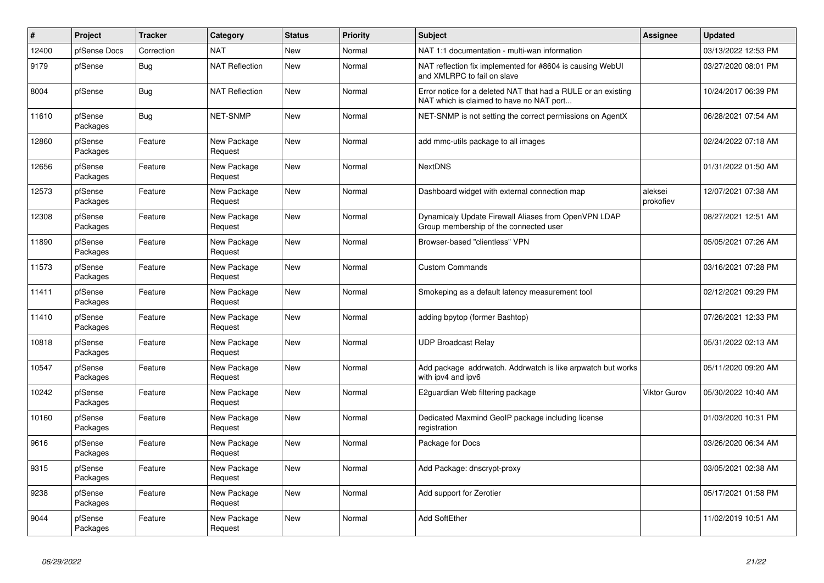| $\vert$ # | Project             | <b>Tracker</b> | Category               | <b>Status</b> | <b>Priority</b> | <b>Subject</b>                                                                                            | <b>Assignee</b>      | <b>Updated</b>      |
|-----------|---------------------|----------------|------------------------|---------------|-----------------|-----------------------------------------------------------------------------------------------------------|----------------------|---------------------|
| 12400     | pfSense Docs        | Correction     | <b>NAT</b>             | <b>New</b>    | Normal          | NAT 1:1 documentation - multi-wan information                                                             |                      | 03/13/2022 12:53 PM |
| 9179      | pfSense             | <b>Bug</b>     | <b>NAT Reflection</b>  | <b>New</b>    | Normal          | NAT reflection fix implemented for #8604 is causing WebUI<br>and XMLRPC to fail on slave                  |                      | 03/27/2020 08:01 PM |
| 8004      | pfSense             | Bug            | <b>NAT Reflection</b>  | New           | Normal          | Error notice for a deleted NAT that had a RULE or an existing<br>NAT which is claimed to have no NAT port |                      | 10/24/2017 06:39 PM |
| 11610     | pfSense<br>Packages | <b>Bug</b>     | <b>NET-SNMP</b>        | New           | Normal          | NET-SNMP is not setting the correct permissions on AgentX                                                 |                      | 06/28/2021 07:54 AM |
| 12860     | pfSense<br>Packages | Feature        | New Package<br>Request | New           | Normal          | add mmc-utils package to all images                                                                       |                      | 02/24/2022 07:18 AM |
| 12656     | pfSense<br>Packages | Feature        | New Package<br>Request | <b>New</b>    | Normal          | <b>NextDNS</b>                                                                                            |                      | 01/31/2022 01:50 AM |
| 12573     | pfSense<br>Packages | Feature        | New Package<br>Request | New           | Normal          | Dashboard widget with external connection map                                                             | aleksei<br>prokofiev | 12/07/2021 07:38 AM |
| 12308     | pfSense<br>Packages | Feature        | New Package<br>Request | <b>New</b>    | Normal          | Dynamicaly Update Firewall Aliases from OpenVPN LDAP<br>Group membership of the connected user            |                      | 08/27/2021 12:51 AM |
| 11890     | pfSense<br>Packages | Feature        | New Package<br>Request | New           | Normal          | Browser-based "clientless" VPN                                                                            |                      | 05/05/2021 07:26 AM |
| 11573     | pfSense<br>Packages | Feature        | New Package<br>Request | <b>New</b>    | Normal          | <b>Custom Commands</b>                                                                                    |                      | 03/16/2021 07:28 PM |
| 11411     | pfSense<br>Packages | Feature        | New Package<br>Request | <b>New</b>    | Normal          | Smokeping as a default latency measurement tool                                                           |                      | 02/12/2021 09:29 PM |
| 11410     | pfSense<br>Packages | Feature        | New Package<br>Request | New           | Normal          | adding bpytop (former Bashtop)                                                                            |                      | 07/26/2021 12:33 PM |
| 10818     | pfSense<br>Packages | Feature        | New Package<br>Request | New           | Normal          | <b>UDP Broadcast Relay</b>                                                                                |                      | 05/31/2022 02:13 AM |
| 10547     | pfSense<br>Packages | Feature        | New Package<br>Request | New           | Normal          | Add package addrwatch. Addrwatch is like arpwatch but works<br>with ipv4 and ipv6                         |                      | 05/11/2020 09:20 AM |
| 10242     | pfSense<br>Packages | Feature        | New Package<br>Request | <b>New</b>    | Normal          | E2guardian Web filtering package                                                                          | <b>Viktor Gurov</b>  | 05/30/2022 10:40 AM |
| 10160     | pfSense<br>Packages | Feature        | New Package<br>Request | <b>New</b>    | Normal          | Dedicated Maxmind GeoIP package including license<br>registration                                         |                      | 01/03/2020 10:31 PM |
| 9616      | pfSense<br>Packages | Feature        | New Package<br>Request | New           | Normal          | Package for Docs                                                                                          |                      | 03/26/2020 06:34 AM |
| 9315      | pfSense<br>Packages | Feature        | New Package<br>Request | New           | Normal          | Add Package: dnscrypt-proxy                                                                               |                      | 03/05/2021 02:38 AM |
| 9238      | pfSense<br>Packages | Feature        | New Package<br>Request | New           | Normal          | Add support for Zerotier                                                                                  |                      | 05/17/2021 01:58 PM |
| 9044      | pfSense<br>Packages | Feature        | New Package<br>Request | New           | Normal          | <b>Add SoftEther</b>                                                                                      |                      | 11/02/2019 10:51 AM |